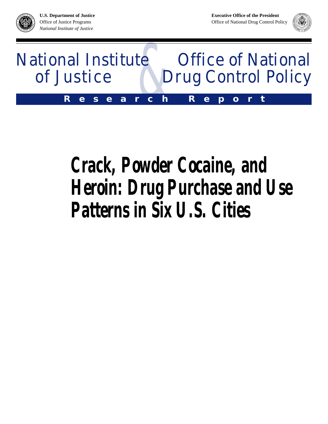**BJA**





# *Crack, Powder Cocaine, and Heroin: Drug Purchase and Use Patterns in Six U.S. Cities*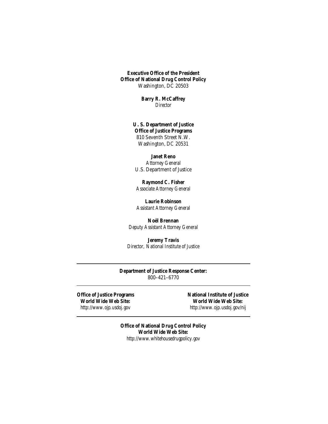**Executive Office of the President Office of National Drug Control Policy** Washington, DC 20503

> **Barry R. McCaffrey** *Director*

**U. S. Department of Justice Office of Justice Programs** 810 Seventh Street N.W. Washington, DC 20531

**Janet Reno** *Attorney General* U.S. Department of Justice

**Raymond C. Fisher** *Associate Attorney General*

**Laurie Robinson** *Assistant Attorney General*

**Noël Brennan** *Deputy Assistant Attorney General*

**Jeremy Travis** *Director, National Institute of Justice*

**Department of Justice Response Center:** 800–421–6770

Office of Justice Programs National Institute of Justice **World Wide Web Site: World Wide Web Site:** *http://www.ojp.usdoj.gov http://www.ojp.usdoj.gov/nij*

> **Office of National Drug Control Policy World Wide Web Site:** *http://www.whitehousedrugpolicy.gov*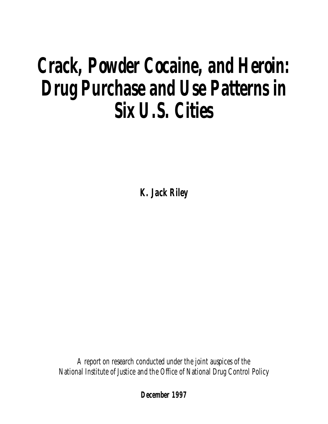# *Crack, Powder Cocaine, and Heroin: Drug Purchase and Use Patterns in Six U.S. Cities*

*K. Jack Riley*

A report on research conducted under the joint auspices of the National Institute of Justice and the Office of National Drug Control Policy

**December 1997**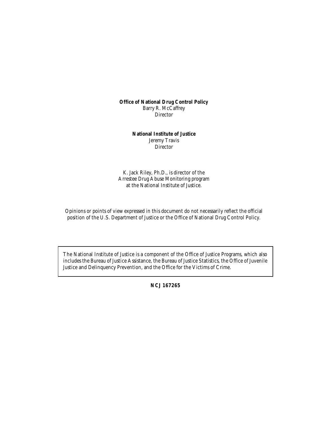**Office of National Drug Control Policy** Barry R. McCaffrey Director

> **National Institute of Justice** Jeremy Travis **Director**

K. Jack Riley, Ph.D., is director of the Arrestee Drug Abuse Monitoring program at the National Institute of Justice.

Opinions or points of view expressed in this document do not necessarily reflect the official position of the U.S. Department of Justice or the Office of National Drug Control Policy.

The National Institute of Justice is a component of the Office of Justice Programs, which also includes the Bureau of Justice Assistance, the Bureau of Justice Statistics, the Office of Juvenile Justice and Delinquency Prevention, and the Office for the Victims of Crime.

**NCJ 167265**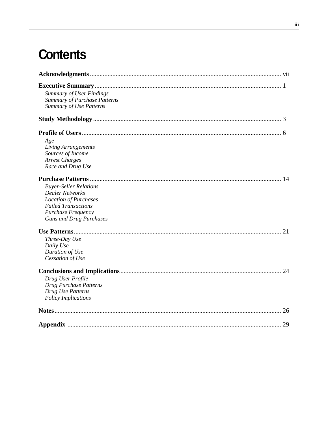# **Contents**

| <b>Summary of User Findings</b><br><b>Summary of Purchase Patterns</b><br><b>Summary of Use Patterns</b><br>Age<br>Living Arrangements<br>Sources of Income<br><b>Arrest Charges</b><br>Race and Drug Use<br><b>Buyer-Seller Relations</b><br><b>Dealer Networks</b><br><b>Location of Purchases</b><br><b>Failed Transactions</b><br>Purchase Frequency<br><b>Guns and Drug Purchases</b><br>Three-Day Use<br>Daily Use<br>Duration of Use<br>Cessation of Use<br>Drug User Profile<br>Drug Purchase Patterns<br>Drug Use Patterns<br><b>Policy Implications</b> |  |
|-------------------------------------------------------------------------------------------------------------------------------------------------------------------------------------------------------------------------------------------------------------------------------------------------------------------------------------------------------------------------------------------------------------------------------------------------------------------------------------------------------------------------------------------------------------------|--|
|                                                                                                                                                                                                                                                                                                                                                                                                                                                                                                                                                                   |  |
|                                                                                                                                                                                                                                                                                                                                                                                                                                                                                                                                                                   |  |
|                                                                                                                                                                                                                                                                                                                                                                                                                                                                                                                                                                   |  |
|                                                                                                                                                                                                                                                                                                                                                                                                                                                                                                                                                                   |  |
|                                                                                                                                                                                                                                                                                                                                                                                                                                                                                                                                                                   |  |
|                                                                                                                                                                                                                                                                                                                                                                                                                                                                                                                                                                   |  |
|                                                                                                                                                                                                                                                                                                                                                                                                                                                                                                                                                                   |  |
|                                                                                                                                                                                                                                                                                                                                                                                                                                                                                                                                                                   |  |
|                                                                                                                                                                                                                                                                                                                                                                                                                                                                                                                                                                   |  |
|                                                                                                                                                                                                                                                                                                                                                                                                                                                                                                                                                                   |  |
|                                                                                                                                                                                                                                                                                                                                                                                                                                                                                                                                                                   |  |
|                                                                                                                                                                                                                                                                                                                                                                                                                                                                                                                                                                   |  |
|                                                                                                                                                                                                                                                                                                                                                                                                                                                                                                                                                                   |  |
|                                                                                                                                                                                                                                                                                                                                                                                                                                                                                                                                                                   |  |
|                                                                                                                                                                                                                                                                                                                                                                                                                                                                                                                                                                   |  |
|                                                                                                                                                                                                                                                                                                                                                                                                                                                                                                                                                                   |  |
|                                                                                                                                                                                                                                                                                                                                                                                                                                                                                                                                                                   |  |
|                                                                                                                                                                                                                                                                                                                                                                                                                                                                                                                                                                   |  |
|                                                                                                                                                                                                                                                                                                                                                                                                                                                                                                                                                                   |  |
|                                                                                                                                                                                                                                                                                                                                                                                                                                                                                                                                                                   |  |
|                                                                                                                                                                                                                                                                                                                                                                                                                                                                                                                                                                   |  |
|                                                                                                                                                                                                                                                                                                                                                                                                                                                                                                                                                                   |  |
|                                                                                                                                                                                                                                                                                                                                                                                                                                                                                                                                                                   |  |
|                                                                                                                                                                                                                                                                                                                                                                                                                                                                                                                                                                   |  |
|                                                                                                                                                                                                                                                                                                                                                                                                                                                                                                                                                                   |  |
|                                                                                                                                                                                                                                                                                                                                                                                                                                                                                                                                                                   |  |
|                                                                                                                                                                                                                                                                                                                                                                                                                                                                                                                                                                   |  |
|                                                                                                                                                                                                                                                                                                                                                                                                                                                                                                                                                                   |  |
|                                                                                                                                                                                                                                                                                                                                                                                                                                                                                                                                                                   |  |
|                                                                                                                                                                                                                                                                                                                                                                                                                                                                                                                                                                   |  |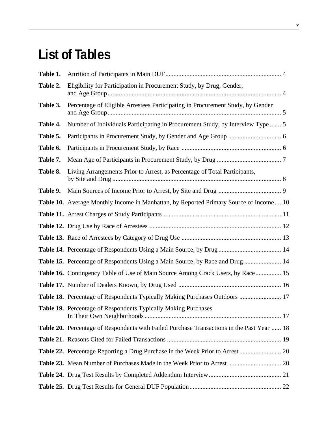# **List of Tables**

| Table 1. |                                                                                            |  |
|----------|--------------------------------------------------------------------------------------------|--|
| Table 2. | Eligibility for Participation in Procurement Study, by Drug, Gender,                       |  |
| Table 3. | Percentage of Eligible Arrestees Participating in Procurement Study, by Gender             |  |
| Table 4. | Number of Individuals Participating in Procurement Study, by Interview Type  5             |  |
| Table 5. |                                                                                            |  |
| Table 6. |                                                                                            |  |
| Table 7. |                                                                                            |  |
| Table 8. | Living Arrangements Prior to Arrest, as Percentage of Total Participants,                  |  |
| Table 9. |                                                                                            |  |
|          | Table 10. Average Monthly Income in Manhattan, by Reported Primary Source of Income 10     |  |
|          |                                                                                            |  |
|          |                                                                                            |  |
|          |                                                                                            |  |
|          | Table 14. Percentage of Respondents Using a Main Source, by Drug  14                       |  |
|          | Table 15. Percentage of Respondents Using a Main Source, by Race and Drug  14              |  |
|          | Table 16. Contingency Table of Use of Main Source Among Crack Users, by Race 15            |  |
|          |                                                                                            |  |
|          | Table 18. Percentage of Respondents Typically Making Purchases Outdoors  17                |  |
|          | Table 19. Percentage of Respondents Typically Making Purchases                             |  |
|          | Table 20. Percentage of Respondents with Failed Purchase Transactions in the Past Year  18 |  |
|          |                                                                                            |  |
|          |                                                                                            |  |
|          |                                                                                            |  |
|          |                                                                                            |  |
|          |                                                                                            |  |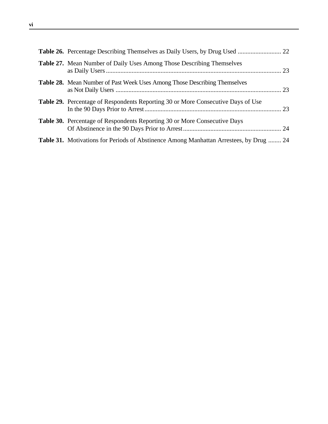| Table 27. Mean Number of Daily Uses Among Those Describing Themselves                         |  |
|-----------------------------------------------------------------------------------------------|--|
| <b>Table 28.</b> Mean Number of Past Week Uses Among Those Describing Themselves              |  |
| Table 29. Percentage of Respondents Reporting 30 or More Consecutive Days of Use              |  |
| <b>Table 30.</b> Percentage of Respondents Reporting 30 or More Consecutive Days              |  |
| <b>Table 31.</b> Motivations for Periods of Abstinence Among Manhattan Arrestees, by Drug  24 |  |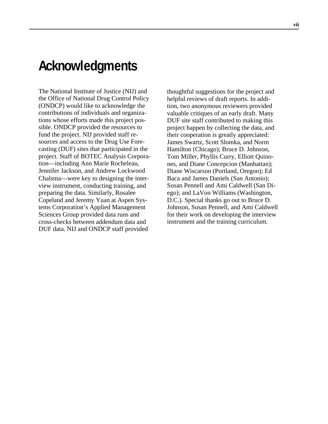# **Acknowledgments**

The National Institute of Justice (NIJ) and the Office of National Drug Control Policy (ONDCP) would like to acknowledge the contributions of individuals and organizations whose efforts made this project possible. ONDCP provided the resources to fund the project. NIJ provided staff resources and access to the Drug Use Forecasting (DUF) sites that participated in the project. Staff of BOTEC Analysis Corporation—including Ann Marie Rocheleau, Jennifer Jackson, and Andrew Lockwood Chalsma—were key to designing the interview instrument, conducting training, and preparing the data. Similarly, Rosalee Copeland and Jeremy Yuan at Aspen Systems Corporation's Applied Management Sciences Group provided data runs and cross-checks between addendum data and DUF data. NIJ and ONDCP staff provided

thoughtful suggestions for the project and helpful reviews of draft reports. In addition, two anonymous reviewers provided valuable critiques of an early draft. Many DUF site staff contributed to making this project happen by collecting the data, and their cooperation is greatly appreciated: James Swartz, Scott Slomka, and Norm Hamilton (Chicago); Bruce D. Johnson, Tom Miller, Phyllis Curry, Elliott Quinones, and Diane Concepcion (Manhattan); Diane Wiscarson (Portland, Oregon); Ed Baca and James Daniels (San Antonio); Susan Pennell and Ami Caldwell (San Diego); and LaVon Williams (Washington, D.C.). Special thanks go out to Bruce D. Johnson, Susan Pennell, and Ami Caldwell for their work on developing the interview instrument and the training curriculum.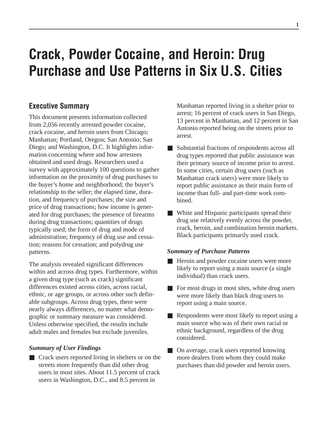# **Crack, Powder Cocaine, and Heroin: Drug Purchase and Use Patterns in Six U.S. Cities**

# **Executive Summary**

This document presents information collected from 2,056 recently arrested powder cocaine, crack cocaine, and heroin users from Chicago; Manhattan; Portland, Oregon; San Antonio; San Diego; and Washington, D.C. It highlights information concerning where and how arrestees obtained and used drugs. Researchers used a survey with approximately 100 questions to gather information on the proximity of drug purchases to the buyer's home and neighborhood; the buyer's relationship to the seller; the elapsed time, duration, and frequency of purchases; the size and price of drug transactions; how income is generated for drug purchases; the presence of firearms during drug transactions; quantities of drugs typically used; the form of drug and mode of administration; frequency of drug use and cessation; reasons for cessation; and polydrug use patterns.

The analysis revealed significant differences within and across drug types. Furthermore, within a given drug type (such as crack) significant differences existed across cities, across racial, ethnic, or age groups, or across other such definable subgroups. Across drug types, there were nearly always differences, no matter what demographic or summary measure was considered. Unless otherwise specified, the results include adult males and females but exclude juveniles.

### *Summary of User Findings*

■ Crack users reported living in shelters or on the streets more frequently than did other drug users in most sites. About 11.5 percent of crack users in Washington, D.C., and 8.5 percent in

Manhattan reported living in a shelter prior to arrest; 16 percent of crack users in San Diego, 13 percent in Manhattan, and 12 percent in San Antonio reported being on the streets prior to arrest.

- Substantial fractions of respondents across all drug types reported that public assistance was their primary source of income prior to arrest. In some cities, certain drug users (such as Manhattan crack users) were more likely to report public assistance as their main form of income than full- and part-time work combined.
- White and Hispanic participants spread their drug use relatively evenly across the powder, crack, heroin, and combination heroin markets. Black participants primarily used crack.

#### *Summary of Purchase Patterns*

- Heroin and powder cocaine users were more likely to report using a main source (a single individual) than crack users.
- For most drugs in most sites, white drug users were more likely than black drug users to report using a main source.
- Respondents were most likely to report using a main source who was of their own racial or ethnic background, regardless of the drug considered.
- On average, crack users reported knowing more dealers from whom they could make purchases than did powder and heroin users.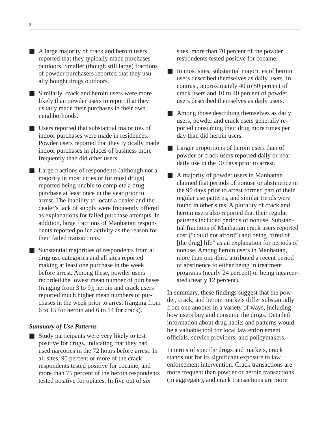- A large majority of crack and heroin users reported that they typically made purchases outdoors. Smaller (though still large) fractions of powder purchasers reported that they usually bought drugs outdoors.
- Similarly, crack and heroin users were more likely than powder users to report that they usually made their purchases in their own neighborhoods.
- Users reported that substantial majorities of indoor purchases were made in residences. Powder users reported that they typically made indoor purchases in places of business more frequently than did other users.
- Large fractions of respondents (although not a majority in most cities or for most drugs) reported being unable to complete a drug purchase at least once in the year prior to arrest. The inability to locate a dealer and the dealer's lack of supply were frequently offered as explanations for failed purchase attempts. In addition, large fractions of Manhattan respondents reported police activity as the reason for their failed transactions.
- Substantial majorities of respondents from all drug use categories and all sites reported making at least one purchase in the week before arrest. Among these, powder users recorded the lowest mean number of purchases (ranging from 3 to 9); heroin and crack users reported much higher mean numbers of purchases in the week prior to arrest (ranging from 6 to 15 for heroin and 6 to 14 for crack).

#### *Summary of Use Patterns*

■ Study participants were very likely to test positive for drugs, indicating that they had used narcotics in the 72 hours before arrest. In all sites, 90 percent or more of the crack respondents tested positive for cocaine, and more than 75 percent of the heroin respondents tested positive for opiates. In five out of six

sites, more than 70 percent of the powder respondents tested positive for cocaine.

- In most sites, substantial majorities of heroin users described themselves as daily users. In contrast, approximately 40 to 50 percent of crack users and 10 to 40 percent of powder users described themselves as daily users.
- Among those describing themselves as daily users, powder and crack users generally reported consuming their drug more times per day than did heroin users.
- Larger proportions of heroin users than of powder or crack users reported daily or neardaily use in the 90 days prior to arrest.
- A majority of powder users in Manhattan claimed that periods of nonuse or abstinence in the 90 days prior to arrest formed part of their regular use patterns, and similar trends were found in other sites. A plurality of crack and heroin users also reported that their regular patterns included periods of nonuse. Substantial fractions of Manhattan crack users reported cost ("could not afford") and being "tired of [the drug] life" as an explanation for periods of nonuse. Among heroin users in Manhattan, more than one-third attributed a recent period of abstinence to either being in treatment programs (nearly 24 percent) or being incarcerated (nearly 12 percent).

In summary, these findings suggest that the powder, crack, and heroin markets differ substantially from one another in a variety of ways, including how users buy and consume the drugs. Detailed information about drug habits and patterns would be a valuable tool for local law enforcement officials, service providers, and policymakers.

In terms of specific drugs and markets, crack stands out for its significant exposure to law enforcement intervention. Crack transactions are more frequent than powder or heroin transactions (in aggregate), and crack transactions are more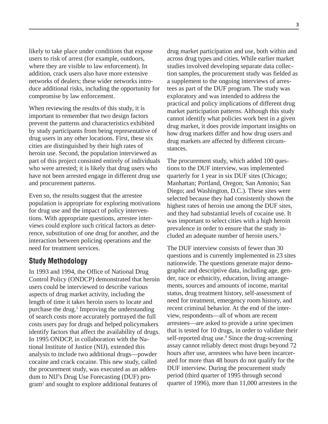likely to take place under conditions that expose users to risk of arrest (for example, outdoors, where they are visible to law enforcement). In addition, crack users also have more extensive networks of dealers; these wider networks introduce additional risks, including the opportunity for compromise by law enforcement.

When reviewing the results of this study, it is important to remember that two design factors prevent the patterns and characteristics exhibited by study participants from being representative of drug users in any other locations. First, these six cities are distinguished by their high rates of heroin use. Second, the population interviewed as part of this project consisted entirely of individuals who were arrested; it is likely that drug users who have not been arrested engage in different drug use and procurement patterns.

Even so, the results suggest that the arrestee population is appropriate for exploring motivations for drug use and the impact of policy interventions. With appropriate questions, arrestee interviews could explore such critical factors as deterrence, substitution of one drug for another, and the interaction between policing operations and the need for treatment services.

### **Study Methodology**

In 1993 and 1994, the Office of National Drug Control Policy (ONDCP) demonstrated that heroin users could be interviewed to describe various aspects of drug market activity, including the length of time it takes heroin users to locate and purchase the drug.<sup>1</sup> Improving the understanding of search costs more accurately portrayed the full costs users pay for drugs and helped policymakers identify factors that affect the availability of drugs. In 1995 ONDCP, in collaboration with the National Institute of Justice (NIJ), extended this analysis to include two additional drugs—powder cocaine and crack cocaine. This new study, called the procurement study, was executed as an addendum to NIJ's Drug Use Forecasting (DUF) program2 and sought to explore additional features of

drug market participation and use, both within and across drug types and cities. While earlier market studies involved developing separate data collection samples, the procurement study was fielded as a supplement to the ongoing interviews of arrestees as part of the DUF program. The study was exploratory and was intended to address the practical and policy implications of different drug market participation patterns. Although this study cannot identify what policies work best in a given drug market, it does provide important insights on how drug markets differ and how drug users and drug markets are affected by different circumstances.

The procurement study, which added 100 questions to the DUF interview, was implemented quarterly for 1 year in six DUF sites (Chicago; Manhattan; Portland, Oregon; San Antonio; San Diego; and Washington, D.C.). These sites were selected because they had consistently shown the highest rates of heroin use among the DUF sites, and they had substantial levels of cocaine use. It was important to select cities with a high heroin prevalence in order to ensure that the study included an adequate number of heroin users.3

The DUF interview consists of fewer than 30 questions and is currently implemented in 23 sites nationwide. The questions generate major demographic and descriptive data, including age, gender, race or ethnicity, education, living arrangements, sources and amounts of income, marital status, drug treatment history, self-assessment of need for treatment, emergency room history, and recent criminal behavior. At the end of the interview, respondents—all of whom are recent arrestees—are asked to provide a urine specimen that is tested for 10 drugs, in order to validate their self-reported drug use.<sup>4</sup> Since the drug-screening assay cannot reliably detect most drugs beyond 72 hours after use, arrestees who have been incarcerated for more than 48 hours do not qualify for the DUF interview. During the procurement study period (third quarter of 1995 through second quarter of 1996), more than 11,000 arrestees in the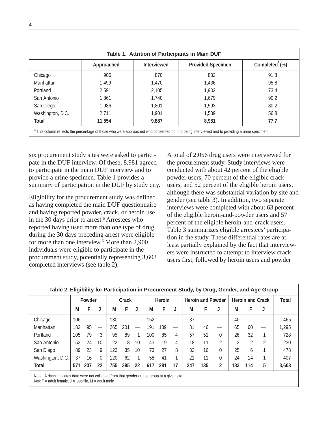|                  | Approached | <b>Interviewed</b> | <b>Provided Specimen</b> | Completed <sup>®</sup> (%) |
|------------------|------------|--------------------|--------------------------|----------------------------|
|                  |            |                    |                          |                            |
| Chicago          | 906        | 870                | 832                      | 91.8                       |
| Manhattan        | 1,499      | 1,470              | 1,436                    | 95.8                       |
| Portland         | 2,591      | 2,105              | 1,902                    | 73.4                       |
| San Antonio      | 1,861      | 1,740              | 1,679                    | 90.2                       |
| San Diego        | 1,986      | 1,801              | 1,593                    | 80.2                       |
| Washington, D.C. | 2,711      | 1,901              | 1,539                    | 56.8                       |
| <b>Total</b>     | 11,554     | 9,887              | 8,981                    | 77.7                       |

six procurement study sites were asked to participate in the DUF interview. Of these, 8,981 agreed to participate in the main DUF interview and to provide a urine specimen. Table 1 provides a summary of participation in the DUF by study city.

Eligibility for the procurement study was defined as having completed the main DUF questionnaire and having reported powder, crack, or heroin use in the 30 days prior to arrest.<sup>5</sup> Arrestees who reported having used more than one type of drug during the 30 days preceding arrest were eligible for more than one interview.<sup>6</sup> More than 2,900 individuals were eligible to participate in the procurement study, potentially representing 3,603 completed interviews (see table 2).

A total of 2,056 drug users were interviewed for the procurement study. Study interviews were conducted with about 42 percent of the eligible powder users, 70 percent of the eligible crack users, and 52 percent of the eligible heroin users, although there was substantial variation by site and gender (see table 3). In addition, two separate interviews were completed with about 63 percent of the eligible heroin-and-powder users and 57 percent of the eligible heroin-and-crack users. Table 3 summarizes eligible arrestees' participation in the study. These differential rates are at least partially explained by the fact that interviewers were instructed to attempt to interview crack users first, followed by heroin users and powder

| Table 2. Eligibility for Participation in Procurement Study, by Drug, Gender, and Age Group |     |        |                                  |       |     |                                  |               |     |    |                          |     |              |                         |              |   |       |
|---------------------------------------------------------------------------------------------|-----|--------|----------------------------------|-------|-----|----------------------------------|---------------|-----|----|--------------------------|-----|--------------|-------------------------|--------------|---|-------|
|                                                                                             |     | Powder |                                  | Crack |     |                                  | <b>Heroin</b> |     |    | <b>Heroin and Powder</b> |     |              | <b>Heroin and Crack</b> | <b>Total</b> |   |       |
|                                                                                             | M   | F      | J                                | M     | F   | J                                | М             | F   | J  | M                        | F   | J            | M                       | F            | J |       |
| Chicago                                                                                     | 106 |        |                                  | 130   |     |                                  | 152           |     |    | 37                       |     |              | 40                      |              |   | 465   |
| Manhattan                                                                                   | 182 | 95     | $\overbrace{\phantom{12322111}}$ | 265   | 201 | $\overbrace{\phantom{12322111}}$ | 191           | 109 |    | 81                       | 46  |              | 65                      | 60           |   | 1,295 |
| Portland                                                                                    | 105 | 79     | 3                                | 95    | 89  | 1                                | 100           | 85  | 4  | 57                       | 51  | 0            | 26                      | 32           |   | 728   |
| San Antonio                                                                                 | 52  | 24     | 10                               | 22    | 8   | 10                               | 43            | 19  | 4  | 18                       | 11  | 2            | 3                       | 2            | 2 | 230   |
| San Diego                                                                                   | 89  | 23     | 9                                | 123   | 35  | 10                               | 73            | 27  | 8  | 33                       | 16  | 0            | 25                      | 6            |   | 478   |
| Washington, D.C.                                                                            | 37  | 16     | $\Omega$                         | 120   | 62  | 1                                | 58            | 41  |    | 21                       | 11  | 0            | 24                      | 14           |   | 407   |
| <b>Total</b>                                                                                | 571 | 237    | 22                               | 755   | 395 | 22                               | 617           | 281 | 17 | 247                      | 135 | $\mathbf{2}$ | 183                     | 114          | 5 | 3,603 |

Note: A dash indicates data were not collected from that gender or age group at a given site.

Key:  $F =$  adult female,  $J =$  juvenile,  $M =$  adult male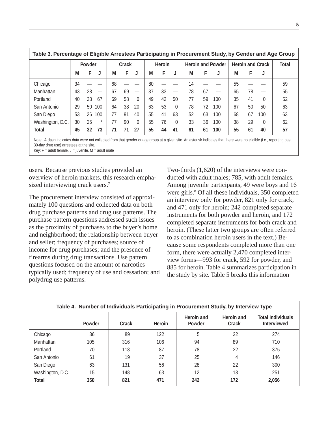|                                                                                                                                                                       | Table 3. Percentage of Eligible Arrestees Participating in Procurement Study, by Gender and Age Group |    |                               |       |    |                   |    |               |          |    |                          |     |    |                         |          |    |
|-----------------------------------------------------------------------------------------------------------------------------------------------------------------------|-------------------------------------------------------------------------------------------------------|----|-------------------------------|-------|----|-------------------|----|---------------|----------|----|--------------------------|-----|----|-------------------------|----------|----|
|                                                                                                                                                                       | Powder                                                                                                |    |                               | Crack |    |                   |    | <b>Heroin</b> |          |    | <b>Heroin and Powder</b> |     |    | <b>Heroin and Crack</b> | Total    |    |
|                                                                                                                                                                       | M                                                                                                     | F  | J                             | М     | F  |                   | М  | F             | J        | М  | F                        | J   | M  | F                       | J        |    |
| Chicago                                                                                                                                                               | 34                                                                                                    |    |                               | 68    |    |                   | 80 |               |          | 14 |                          |     | 55 |                         |          | 59 |
| Manhattan                                                                                                                                                             | 43                                                                                                    | 28 | $\overbrace{\phantom{12333}}$ | 67    | 69 | $\hspace{0.05cm}$ | 37 | 33            |          | 78 | 67                       |     | 65 | 78                      |          | 55 |
| Portland                                                                                                                                                              | 40                                                                                                    | 33 | 67                            | 69    | 58 | $\Omega$          | 49 | 42            | 50       | 77 | 59                       | 100 | 35 | 41                      | 0        | 52 |
| San Antonio                                                                                                                                                           | 29                                                                                                    | 50 | 100                           | 64    | 38 | 20                | 63 | 53            | 0        | 78 | 72                       | 100 | 67 | 50                      | 50       | 63 |
| San Diego                                                                                                                                                             | 53                                                                                                    | 26 | 100                           | 77    | 91 | 40                | 55 | 41            | 63       | 52 | 63                       | 100 | 68 | 67                      | 100      | 63 |
| Washington, D.C.                                                                                                                                                      | 30                                                                                                    | 25 | $\star$                       | 77    | 90 | $\Omega$          | 55 | 76            | $\Omega$ | 33 | 36                       | 100 | 38 | 29                      | $\Omega$ | 62 |
| <b>Total</b>                                                                                                                                                          | 45                                                                                                    | 32 | 73                            | 71    | 71 | 27                | 55 | 44            | 41       | 61 | 61                       | 100 | 55 | 61                      | 40       | 57 |
| Note: A dech indicates data were not collected from that gender or age group at a given site. An asterisk indicates that there were no eligible (i.e., reporting past |                                                                                                       |    |                               |       |    |                   |    |               |          |    |                          |     |    |                         |          |    |

Note: A dash indicates data were not collected from that gender or age group at a given site. An asterisk indicates that there were no eligible (i.e., reporting past 30-day drug use) arrestees at the site.

Key:  $F =$  adult female,  $J =$  juvenile,  $M =$  adult male

users. Because previous studies provided an overview of heroin markets, this research emphasized interviewing crack users.<sup>7</sup>

The procurement interview consisted of approximately 100 questions and collected data on both drug purchase patterns and drug use patterns. The purchase pattern questions addressed such issues as the proximity of purchases to the buyer's home and neighborhood; the relationship between buyer and seller; frequency of purchases; source of income for drug purchases; and the presence of firearms during drug transactions. Use pattern questions focused on the amount of narcotics typically used; frequency of use and cessation; and polydrug use patterns.

Two-thirds (1,620) of the interviews were conducted with adult males; 785, with adult females. Among juvenile participants, 49 were boys and 16 were girls.<sup>8</sup> Of all these individuals, 350 completed an interview only for powder, 821 only for crack, and 471 only for heroin; 242 completed separate instruments for both powder and heroin, and 172 completed separate instruments for both crack and heroin. (These latter two groups are often referred to as combination heroin users in the text.) Because some respondents completed more than one form, there were actually 2,470 completed interview forms—993 for crack, 592 for powder, and 885 for heroin. Table 4 summarizes participation in the study by site. Table 5 breaks this information

|                  | Table 4. Number of Individuals Participating in Procurement Study, by Interview Type |       |               |                                    |                            |                                                |  |  |  |  |  |  |  |  |
|------------------|--------------------------------------------------------------------------------------|-------|---------------|------------------------------------|----------------------------|------------------------------------------------|--|--|--|--|--|--|--|--|
|                  | <b>Powder</b>                                                                        | Crack | <b>Heroin</b> | <b>Heroin and</b><br><b>Powder</b> | <b>Heroin and</b><br>Crack | <b>Total Individuals</b><br><b>Interviewed</b> |  |  |  |  |  |  |  |  |
| Chicago          | 36                                                                                   | 89    | 122           | 5                                  | 22                         | 274                                            |  |  |  |  |  |  |  |  |
| Manhattan        | 105                                                                                  | 316   | 106           | 94                                 | 89                         | 710                                            |  |  |  |  |  |  |  |  |
| Portland         | 70                                                                                   | 118   | 87            | 78                                 | 22                         | 375                                            |  |  |  |  |  |  |  |  |
| San Antonio      | 61                                                                                   | 19    | 37            | 25                                 | 4                          | 146                                            |  |  |  |  |  |  |  |  |
| San Diego        | 63                                                                                   | 131   | 56            | 28                                 | 22                         | 300                                            |  |  |  |  |  |  |  |  |
| Washington, D.C. | 15                                                                                   | 148   | 63            | 12                                 | 13                         | 251                                            |  |  |  |  |  |  |  |  |
| <b>Total</b>     | 350                                                                                  | 821   | 471           | 242                                | 172                        | 2,056                                          |  |  |  |  |  |  |  |  |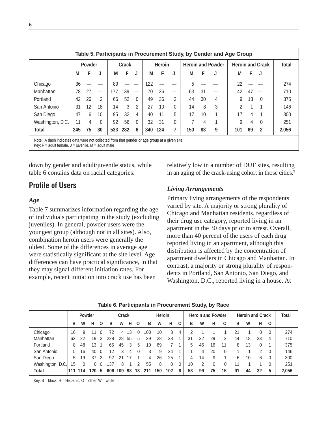|                  | <b>Powder</b> |    |          | <b>Crack</b> |     |                          | <b>Heroin</b> |     |   | <b>Heroin and Powder</b> |    |   | <b>Heroin and Crack</b> | <b>Total</b> |          |       |
|------------------|---------------|----|----------|--------------|-----|--------------------------|---------------|-----|---|--------------------------|----|---|-------------------------|--------------|----------|-------|
|                  | M             | F  | J        | М            | F   | J                        | м             | F   | J | М                        | F  |   | М                       | F.           | J        |       |
| Chicago          | 36            |    |          | 89           |     |                          | 122           |     |   | 5                        |    |   | 22                      |              |          | 274   |
| Manhattan        | 78            | 27 |          | 177          | 139 | $\overline{\phantom{m}}$ | 70            | 36  | — | 63                       | 31 |   | 42                      | 47           |          | 710   |
| Portland         | 42            | 26 | 2        | 66           | 52  | $\mathbf{0}$             | 49            | 36  | 2 | 44                       | 30 | 4 | 9                       | 13           | $\Omega$ | 375   |
| San Antonio      | 31            | 12 | 18       | 14           | 3   | 2                        | 27            | 10  | 0 | 14                       | 8  | 3 | $\mathcal{P}$           |              | 1        | 146   |
| San Diego        | 47            | 6  | 10       | 95           | 32  | 4                        | 40            | 11  | 5 | 17                       | 10 | 1 | 17                      | 4            | 1        | 300   |
| Washington, D.C. | 11            | 4  | $\Omega$ | 92           | 56  | $\Omega$                 | 32            | 31  | 0 |                          | 4  | 1 | 9                       | 4            | $\Omega$ | 251   |
| Total            | 245           | 75 | 30       | 533          | 282 | 6                        | 340           | 124 | 7 | 150                      | 83 | 9 | 101                     | 69           | 2        | 2,056 |

down by gender and adult/juvenile status, while table 6 contains data on racial categories.

# **Profile of Users**

#### *Age*

Table 7 summarizes information regarding the age of individuals participating in the study (excluding juveniles). In general, powder users were the youngest group (although not in all sites). Also, combination heroin users were generally the oldest. Some of the differences in average age were statistically significant at the site level. Age differences can have practical significance, in that they may signal different initiation rates. For example, recent initiation into crack use has been

relatively low in a number of DUF sites, resulting in an aging of the crack-using cohort in those cities.<sup>9</sup>

#### *Living Arrangements*

Primary living arrangements of the respondents varied by site. A majority or strong plurality of Chicago and Manhattan residents, regardless of their drug use category, reported living in an apartment in the 30 days prior to arrest. Overall, more than 40 percent of the users of each drug reported living in an apartment, although this distribution is affected by the concentration of apartment dwellers in Chicago and Manhattan. In contrast, a majority or strong plurality of respondents in Portland, San Antonio, San Diego, and Washington, D.C., reported living in a house. At

|                                                               | Table 6. Participants in Procurement Study, by Race |               |                  |                |       |     |      |          |               |     |          |              |                          |    |          |              |    |                         |          |          |       |
|---------------------------------------------------------------|-----------------------------------------------------|---------------|------------------|----------------|-------|-----|------|----------|---------------|-----|----------|--------------|--------------------------|----|----------|--------------|----|-------------------------|----------|----------|-------|
|                                                               |                                                     | <b>Powder</b> |                  |                | Crack |     |      |          | <b>Heroin</b> |     |          |              | <b>Heroin and Powder</b> |    |          |              |    | <b>Heroin and Crack</b> |          | Total    |       |
|                                                               | в                                                   | W             | н                | $\mathbf{o}$   | в     | W   | н    | $\Omega$ | в             | W   | н        | $\Omega$     | в                        | W  | н        | O            | в  | W                       | н        | O        |       |
| Chicago                                                       | 16                                                  | 9             | 11               | $\overline{0}$ | 72    | 4   | 13   | $\Omega$ | 100           | 10  | 8        | 4            | 2                        |    |          |              | 21 |                         | 0        | $\Omega$ | 274   |
| Manhattan                                                     | 62                                                  | 22            | 19               | 2              | 228   | 28  | 55   | 5        | 39            | 28  | 38       | 1            | 31                       | 32 | 29       | 2            | 44 | 18                      | 23       | 4        | 710   |
| Portland                                                      | 8                                                   | 48            | 13               |                | 65    | 45  | 3    | 5        | 10            | 69  | 7        |              | 5                        | 46 | 16       | 11           | 8  | 13                      | $\Omega$ |          | 375   |
| San Antonio                                                   | 5                                                   | 16            | 40               | $\Omega$       | 12    | 3   | 4    | 0        | 3             | 9   | 24       |              |                          | 4  | 20       | $\Omega$     |    |                         | 2        | $\Omega$ | 146   |
| San Diego                                                     | 5                                                   | 19            | 37 <sub>2</sub>  |                | 92    | 21  | - 17 |          | 4             | 26  | 25       |              | 4                        | 14 | 9        | 1            | 6  | 10                      | 6        | $\Omega$ | 300   |
| Washington, D.C.                                              | 15                                                  | $\Omega$      | $\Omega$         | $\Omega$       | 137   | 8   |      | 2        | 55            | 8   | $\Omega$ | $\mathbf{0}$ | 10                       | 2  | $\Omega$ | $\mathbf{0}$ | 11 |                         | и        | 0        | 251   |
| <b>Total</b>                                                  | 111                                                 | 114           | 120 <sub>5</sub> |                | 606   | 109 | 93   | 13       | 211           | 150 | 102      | 8            | 53                       | 99 | 75       | 15           | 91 | 44                      | 32       | 5        | 2,056 |
| Key: $B = black$ , $H = Hispanic$ , $O = other$ , $W = white$ |                                                     |               |                  |                |       |     |      |          |               |     |          |              |                          |    |          |              |    |                         |          |          |       |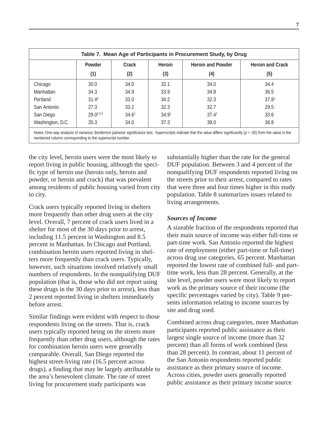| Table 7. Mean Age of Participants in Procurement Study, by Drug |                   |                   |               |                                                                                                                                                                        |                         |  |  |  |  |  |  |  |
|-----------------------------------------------------------------|-------------------|-------------------|---------------|------------------------------------------------------------------------------------------------------------------------------------------------------------------------|-------------------------|--|--|--|--|--|--|--|
|                                                                 | Powder            | Crack             | <b>Heroin</b> | <b>Heroin and Powder</b>                                                                                                                                               | <b>Heroin and Crack</b> |  |  |  |  |  |  |  |
|                                                                 | (1)               | (2)               | (3)           | (4)                                                                                                                                                                    | (5)                     |  |  |  |  |  |  |  |
| Chicago                                                         | 30.0              | 34.0              | 32.1          | 34.0                                                                                                                                                                   | 34.4                    |  |  |  |  |  |  |  |
| Manhattan                                                       | 34.3              | 34.9              | 33.9          | 34.8                                                                                                                                                                   | 36.5                    |  |  |  |  |  |  |  |
| Portland                                                        | 31.4 <sup>5</sup> | 33.0              | 34.2          | 32.3                                                                                                                                                                   | 37.8 <sup>1</sup>       |  |  |  |  |  |  |  |
| San Antonio                                                     | 27.3              | 33.2              | 32.3          | 32.7                                                                                                                                                                   | 29.5                    |  |  |  |  |  |  |  |
| San Diego                                                       | $29.0^{2,3,4}$    | 34.6 <sup>1</sup> | 34.91         | 37.4 <sup>1</sup>                                                                                                                                                      | 33.6                    |  |  |  |  |  |  |  |
| Washington, D.C.                                                | 35.3              | 34.0              | 37.3          | 38.0                                                                                                                                                                   | 36.8                    |  |  |  |  |  |  |  |
|                                                                 |                   |                   |               | Notes: One way analysis of variance Ronferroni pairwise significance test. Superscripts indicate that the value differs significantly $(n - 05)$ from the value in the |                         |  |  |  |  |  |  |  |

Notes: One-way analysis of variance, Bonferroni pairwise significance test. Superscripts indicate that the value differs significantly ( $p = .05$ ) from the value in the numbered column corresponding to the superscript number.

the city level, heroin users were the most likely to report living in public housing, although the specific type of heroin use (heroin only, heroin and powder, or heroin and crack) that was prevalent among residents of public housing varied from city to city.

Crack users typically reported living in shelters more frequently than other drug users at the city level. Overall, 7 percent of crack users lived in a shelter for most of the 30 days prior to arrest, including 11.5 percent in Washington and 8.5 percent in Manhattan. In Chicago and Portland, combination heroin users reported living in shelters more frequently than crack users. Typically, however, such situations involved relatively small numbers of respondents. In the nonqualifying DUF population (that is, those who did not report using these drugs in the 30 days prior to arrest), less than 2 percent reported living in shelters immediately before arrest.

Similar findings were evident with respect to those respondents living on the streets. That is, crack users typically reported being on the streets more frequently than other drug users, although the rates for combination heroin users were generally comparable. Overall, San Diego reported the highest street-living rate (16.5 percent across drugs), a finding that may be largely attributable to the area's benevolent climate. The rate of street living for procurement study participants was

substantially higher than the rate for the general DUF population. Between 3 and 4 percent of the nonqualifying DUF respondents reported living on the streets prior to their arrest, compared to rates that were three and four times higher in this study population. Table 8 summarizes issues related to living arrangements.

#### *Sources of Income*

A sizeable fraction of the respondents reported that their main source of income was either full-time or part-time work. San Antonio reported the highest rate of employment (either part-time or full-time) across drug use categories, 65 percent. Manhattan reported the lowest rate of combined full- and parttime work, less than 28 percent. Generally, at the site level, powder users were most likely to report work as the primary source of their income (the specific percentages varied by city). Table 9 presents information relating to income sources by site and drug used.

Combined across drug categories, more Manhattan participants reported public assistance as their largest single source of income (more than 32 percent) than all forms of work combined (less than 28 percent). In contrast, about 11 percent of the San Antonio respondents reported public assistance as their primary source of income. Across cities, powder users generally reported public assistance as their primary income source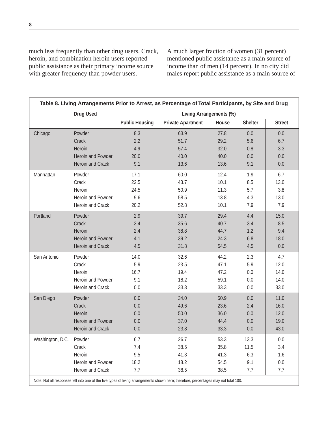much less frequently than other drug users. Crack, heroin, and combination heroin users reported public assistance as their primary income source with greater frequency than powder users.

A much larger fraction of women (31 percent) mentioned public assistance as a main source of income than of men (14 percent). In no city did males report public assistance as a main source of

|                  | <b>Drug Used</b>  |                       |                          | Living Arrangements (%) |                |               |
|------------------|-------------------|-----------------------|--------------------------|-------------------------|----------------|---------------|
|                  |                   | <b>Public Housing</b> | <b>Private Apartment</b> | House                   | <b>Shelter</b> | <b>Street</b> |
|                  |                   |                       |                          |                         |                |               |
| Chicago          | Powder            | 8.3                   | 63.9                     | 27.8                    | 0.0            | 0.0           |
|                  | Crack             | 2.2                   | 51.7                     | 29.2                    | 5.6            | 6.7           |
|                  | Heroin            | 4.9                   | 57.4                     | 32.0                    | 0.8            | 3.3           |
|                  | Heroin and Powder | 20.0                  | 40.0                     | 40.0                    | 0.0            | 0.0           |
|                  | Heroin and Crack  | 9.1                   | 13.6                     | 13.6                    | 9.1            | 0.0           |
| Manhattan        | Powder            | 17.1                  | 60.0                     | 12.4                    | 1.9            | 6.7           |
|                  | Crack             | 22.5                  | 43.7                     | 10.1                    | 8.5            | 13.0          |
|                  | Heroin            | 24.5                  | 50.9                     | 11.3                    | 5.7            | 3.8           |
|                  | Heroin and Powder | 9.6                   | 58.5                     | 13.8                    | 4.3            | 13.0          |
|                  | Heroin and Crack  | 20.2                  | 52.8                     | 10.1                    | 7.9            | 7.9           |
| Portland         | Powder            | 2.9                   | 39.7                     | 29.4                    | 4.4            | 15.0          |
|                  | Crack             | 3.4                   | 35.6                     | 40.7                    | 3.4            | 8.5           |
|                  | Heroin            | 2.4                   | 38.8                     | 44.7                    | 1.2            | 9.4           |
|                  | Heroin and Powder | 4.1                   | 39.2                     | 24.3                    | 6.8            | 18.0          |
|                  | Heroin and Crack  | 4.5                   | 31.8                     | 54.5                    | 4.5            | 0.0           |
| San Antonio      | Powder            | 14.0                  | 32.6                     | 44.2                    | 2.3            | 4.7           |
|                  | Crack             | 5.9                   | 23.5                     | 47.1                    | 5.9            | 12.0          |
|                  | Heroin            | 16.7                  | 19.4                     | 47.2                    | 0.0            | 14.0          |
|                  | Heroin and Powder | 9.1                   | 18.2                     | 59.1                    | 0.0            | 14.0          |
|                  | Heroin and Crack  | 0.0                   | 33.3                     | 33.3                    | 0.0            | 33.0          |
| San Diego        | Powder            | 0.0                   | 34.0                     | 50.9                    | 0.0            | 11.0          |
|                  | Crack             | 0.0                   | 49.6                     | 23.6                    | 2.4            | 16.0          |
|                  | Heroin            | 0.0                   | 50.0                     | 36.0                    | 0.0            | 12.0          |
|                  | Heroin and Powder | 0.0                   | 37.0                     | 44.4                    | 0.0            | 19.0          |
|                  | Heroin and Crack  | 0.0                   | 23.8                     | 33.3                    | 0.0            | 43.0          |
| Washington, D.C. | Powder            | 6.7                   | 26.7                     | 53.3                    | 13.3           | $0.0\,$       |
|                  | Crack             | 7.4                   | 38.5                     | 35.8                    | 11.5           | 3.4           |
|                  | Heroin            | 9.5                   | 41.3                     | 41.3                    | 6.3            | 1.6           |
|                  | Heroin and Powder | 18.2                  | 18.2                     | 54.5                    | 9.1            | 0.0           |
|                  | Heroin and Crack  | 7.7                   | 38.5                     | 38.5                    | 7.7            | 7.7           |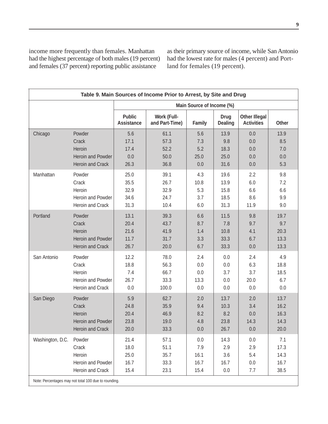income more frequently than females. Manhattan had the highest percentage of both males (19 percent) and females (37 percent) reporting public assistance

as their primary source of income, while San Antonio had the lowest rate for males (4 percent) and Portland for females (19 percent).

|                         | Table 9. Main Sources of Income Prior to Arrest, by Site and Drug |                                                      |         |                               |                                           |       |  |  |  |  |  |  |  |  |
|-------------------------|-------------------------------------------------------------------|------------------------------------------------------|---------|-------------------------------|-------------------------------------------|-------|--|--|--|--|--|--|--|--|
|                         |                                                                   |                                                      |         |                               |                                           |       |  |  |  |  |  |  |  |  |
|                         | <b>Public</b><br><b>Assistance</b>                                | <b>Work (Full-</b><br>and Part-Time)                 | Family  | <b>Drug</b><br><b>Dealing</b> | <b>Other Illegal</b><br><b>Activities</b> | Other |  |  |  |  |  |  |  |  |
| Powder                  | 5.6                                                               | 61.1                                                 | 5.6     | 13.9                          | 0.0                                       | 13.9  |  |  |  |  |  |  |  |  |
| Crack                   | 17.1                                                              | 57.3                                                 | 7.3     | 9.8                           | 0.0                                       | 8.5   |  |  |  |  |  |  |  |  |
| Heroin                  | 17.4                                                              | 52.2                                                 | 5.2     | 18.3                          | 0.0                                       | 7.0   |  |  |  |  |  |  |  |  |
| Heroin and Powder       | 0.0                                                               | 50.0                                                 | 25.0    | 25.0                          | 0.0                                       | 0.0   |  |  |  |  |  |  |  |  |
| Heroin and Crack        | 26.3                                                              | 36.8                                                 | 0.0     | 31.6                          | 0.0                                       | 5.3   |  |  |  |  |  |  |  |  |
| Powder                  | 25.0                                                              | 39.1                                                 | 4.3     | 19.6                          | 2.2                                       | 9.8   |  |  |  |  |  |  |  |  |
| Crack                   | 35.5                                                              | 26.7                                                 | 10.8    | 13.9                          | 6.0                                       | 7.2   |  |  |  |  |  |  |  |  |
| Heroin                  | 32.9                                                              | 32.9                                                 | 5.3     | 15.8                          | 6.6                                       | 6.6   |  |  |  |  |  |  |  |  |
| Heroin and Powder       | 34.6                                                              | 24.7                                                 | 3.7     | 18.5                          | 8.6                                       | 9.9   |  |  |  |  |  |  |  |  |
| Heroin and Crack        | 31.3                                                              | 10.4                                                 | 6.0     | 31.3                          | 11.9                                      | 9.0   |  |  |  |  |  |  |  |  |
| Powder                  | 13.1                                                              | 39.3                                                 | 6.6     | 11.5                          | 9.8                                       | 19.7  |  |  |  |  |  |  |  |  |
| Crack                   | 20.4                                                              | 43.7                                                 | 8.7     | 7.8                           | 9.7                                       | 9.7   |  |  |  |  |  |  |  |  |
| Heroin                  | 21.6                                                              | 41.9                                                 | 1.4     | 10.8                          | 4.1                                       | 20.3  |  |  |  |  |  |  |  |  |
| Heroin and Powder       | 11.7                                                              | 31.7                                                 | 3.3     | 33.3                          | 6.7                                       | 13.3  |  |  |  |  |  |  |  |  |
| <b>Heroin and Crack</b> | 26.7                                                              | 20.0                                                 | 6.7     | 33.3                          | 0.0                                       | 13.3  |  |  |  |  |  |  |  |  |
| Powder                  | 12.2                                                              | 78.0                                                 | 2.4     | 0.0                           | 2.4                                       | 4.9   |  |  |  |  |  |  |  |  |
| Crack                   | 18.8                                                              | 56.3                                                 | 0.0     | 0.0                           | 6.3                                       | 18.8  |  |  |  |  |  |  |  |  |
| Heroin                  | 7.4                                                               | 66.7                                                 | 0.0     | 3.7                           | 3.7                                       | 18.5  |  |  |  |  |  |  |  |  |
| Heroin and Powder       | 26.7                                                              | 33.3                                                 | 13.3    | 0.0                           | 20.0                                      | 6.7   |  |  |  |  |  |  |  |  |
| Heroin and Crack        | 0.0                                                               | 100.0                                                | 0.0     | 0.0                           | 0.0                                       | 0.0   |  |  |  |  |  |  |  |  |
| Powder                  | 5.9                                                               | 62.7                                                 | 2.0     | 13.7                          | 2.0                                       | 13.7  |  |  |  |  |  |  |  |  |
| Crack                   | 24.8                                                              | 35.9                                                 | 9.4     | 10.3                          | 3.4                                       | 16.2  |  |  |  |  |  |  |  |  |
| Heroin                  | 20.4                                                              | 46.9                                                 | 8.2     | 8.2                           | 0.0                                       | 16.3  |  |  |  |  |  |  |  |  |
| Heroin and Powder       | 23.8                                                              | 19.0                                                 | 4.8     | 23.8                          | 14.3                                      | 14.3  |  |  |  |  |  |  |  |  |
| Heroin and Crack        | 20.0                                                              | 33.3                                                 | $0.0\,$ | 26.7                          | $0.0\,$                                   | 20.0  |  |  |  |  |  |  |  |  |
| Powder                  | 21.4                                                              | 57.1                                                 | 0.0     | 14.3                          | 0.0                                       | 7.1   |  |  |  |  |  |  |  |  |
| Crack                   | 18.0                                                              | 51.1                                                 | 7.9     | 2.9                           | 2.9                                       | 17.3  |  |  |  |  |  |  |  |  |
| Heroin                  | 25.0                                                              | 35.7                                                 | 16.1    | 3.6                           | 5.4                                       | 14.3  |  |  |  |  |  |  |  |  |
| Heroin and Powder       | 16.7                                                              | 33.3                                                 | 16.7    | 16.7                          | 0.0                                       | 16.7  |  |  |  |  |  |  |  |  |
| Heroin and Crack        | 15.4                                                              | 23.1                                                 | 15.4    | 0.0                           | 7.7                                       | 38.5  |  |  |  |  |  |  |  |  |
|                         |                                                                   | Note: Percentages may not total 100 due to rounding. |         |                               | Main Source of Income (%)                 |       |  |  |  |  |  |  |  |  |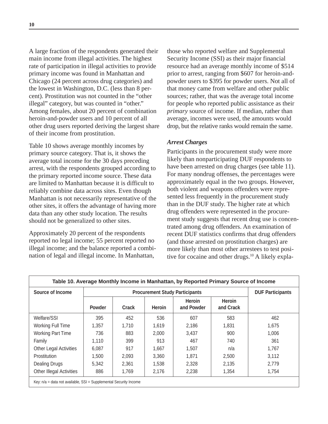A large fraction of the respondents generated their main income from illegal activities. The highest rate of participation in illegal activities to provide primary income was found in Manhattan and Chicago (24 percent across drug categories) and the lowest in Washington, D.C. (less than 8 percent). Prostitution was not counted in the "other illegal" category, but was counted in "other." Among females, about 20 percent of combination heroin-and-powder users and 10 percent of all other drug users reported deriving the largest share of their income from prostitution.

Table 10 shows average monthly incomes by primary source category. That is, it shows the average total income for the 30 days preceding arrest, with the respondents grouped according to the primary reported income source. These data are limited to Manhattan because it is difficult to reliably combine data across sites. Even though Manhattan is not necessarily representative of the other sites, it offers the advantage of having more data than any other study location. The results should not be generalized to other sites.

Approximately 20 percent of the respondents reported no legal income; 55 percent reported no illegal income; and the balance reported a combination of legal and illegal income. In Manhattan,

those who reported welfare and Supplemental Security Income (SSI) as their major financial resource had an average monthly income of \$514 prior to arrest, ranging from \$607 for heroin-andpowder users to \$395 for powder users. Not all of that money came from welfare and other public sources; rather, that was the average total income for people who reported public assistance as their *primary* source of income. If median, rather than average, incomes were used, the amounts would drop, but the relative ranks would remain the same.

#### *Arrest Charges*

Participants in the procurement study were more likely than nonparticipating DUF respondents to have been arrested on drug charges (see table 11). For many nondrug offenses, the percentages were approximately equal in the two groups. However, both violent and weapons offenders were represented less frequently in the procurement study than in the DUF study. The higher rate at which drug offenders were represented in the procurement study suggests that recent drug use is concentrated among drug offenders. An examination of recent DUF statistics confirms that drug offenders (and those arrested on prostitution charges) are more likely than most other arrestees to test positive for cocaine and other drugs.<sup>10</sup> A likely expla-

| Source of Income                |               |       | <b>Procurement Study Participants</b> |                             |                            | <b>DUF Participants</b> |
|---------------------------------|---------------|-------|---------------------------------------|-----------------------------|----------------------------|-------------------------|
|                                 | <b>Powder</b> | Crack | <b>Heroin</b>                         | <b>Heroin</b><br>and Powder | <b>Heroin</b><br>and Crack |                         |
| Welfare/SSI                     | 395           | 452   | 536                                   | 607                         | 583                        | 462                     |
| <b>Working Full Time</b>        | 1,357         | 1.710 | 1.619                                 | 2.186                       | 1,831                      | 1.675                   |
| <b>Working Part Time</b>        | 736           | 883   | 2.000                                 | 3,437                       | 900                        | 1,006                   |
| Family                          | 1,110         | 399   | 913                                   | 467                         | 740                        | 361                     |
| Other Legal Activities          | 6,087         | 917   | 1,667                                 | 1,507                       | n/a                        | 1,767                   |
| Prostitution                    | 1,500         | 2,093 | 3,360                                 | 1.871                       | 2,500                      | 3,112                   |
| Dealing Drugs                   | 5,342         | 2,361 | 1,538                                 | 2,328                       | 2,135                      | 2,779                   |
| <b>Other Illegal Activities</b> | 886           | 1.769 | 2,176                                 | 2,238                       | 1,354                      | 1,754                   |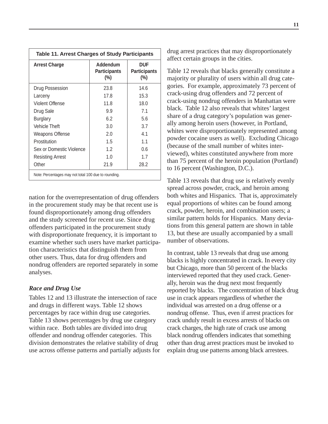| <b>Table 11. Arrest Charges of Study Participants</b> |                                            |                                             |
|-------------------------------------------------------|--------------------------------------------|---------------------------------------------|
| <b>Arrest Charge</b>                                  | Addendum<br><b>Participants</b><br>$(\% )$ | <b>DUF</b><br><b>Participants</b><br>$(\%)$ |
| Drug Possession                                       | 23.8                                       | 14.6                                        |
| Larceny                                               | 17.8                                       | 15.3                                        |
| Violent Offense                                       | 11.8                                       | 18.0                                        |
| Drug Sale                                             | 9.9                                        | 7.1                                         |
| Burglary                                              | 6.2                                        | 5.6                                         |
| Vehicle Theft                                         | 3.0                                        | 3.7                                         |
| <b>Weapons Offense</b>                                | 2.0                                        | 4.1                                         |
| Prostitution                                          | 1.5                                        | 1.1                                         |
| Sex or Domestic Violence                              | 1.2                                        | 0.6                                         |
| Resisting Arrest                                      | 1.0                                        | 1.7                                         |
| Other                                                 | 21.9                                       | 28.2                                        |
| Note: Percentages may not total 100 due to rounding.  |                                            |                                             |

nation for the overrepresentation of drug offenders in the procurement study may be that recent use is found disproportionately among drug offenders and the study screened for recent use. Since drug offenders participated in the procurement study with disproportionate frequency, it is important to examine whether such users have market participation characteristics that distinguish them from other users. Thus, data for drug offenders and nondrug offenders are reported separately in some analyses.

#### *Race and Drug Use*

Tables 12 and 13 illustrate the intersection of race and drugs in different ways. Table 12 shows percentages by race within drug use categories. Table 13 shows percentages by drug use category within race. Both tables are divided into drug offender and nondrug offender categories. This division demonstrates the relative stability of drug use across offense patterns and partially adjusts for drug arrest practices that may disproportionately affect certain groups in the cities.

Table 12 reveals that blacks generally constitute a majority or plurality of users within all drug categories. For example, approximately 73 percent of crack-using drug offenders and 72 percent of crack-using nondrug offenders in Manhattan were black. Table 12 also reveals that whites' largest share of a drug category's population was generally among heroin users (however, in Portland, whites were disproportionately represented among powder cocaine users as well). Excluding Chicago (because of the small number of whites interviewed), whites constituted anywhere from more than 75 percent of the heroin population (Portland) to 16 percent (Washington, D.C.).

Table 13 reveals that drug use is relatively evenly spread across powder, crack, and heroin among both whites and Hispanics. That is, approximately equal proportions of whites can be found among crack, powder, heroin, and combination users; a similar pattern holds for Hispanics. Many deviations from this general pattern are shown in table 13, but these are usually accompanied by a small number of observations.

In contrast, table 13 reveals that drug use among blacks is highly concentrated in crack. In every city but Chicago, more than 50 percent of the blacks interviewed reported that they used crack. Generally, heroin was the drug next most frequently reported by blacks. The concentration of black drug use in crack appears regardless of whether the individual was arrested on a drug offense or a nondrug offense. Thus, even if arrest practices for crack unduly result in excess arrests of blacks on crack charges, the high rate of crack use among black nondrug offenders indicates that something other than drug arrest practices must be invoked to explain drug use patterns among black arrestees.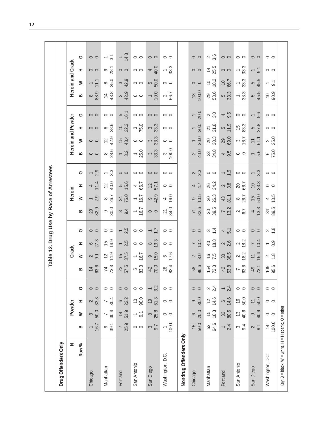|                                                    |                      |                    |                   |                 |                                  | Table                  | Drug<br><u>si</u> | Use             | $\overline{\mathsf{S}}$ | Race             | of Arrestees           |                |                             |                                   |                                  |                  |                        |                  |                                  |                  |
|----------------------------------------------------|----------------------|--------------------|-------------------|-----------------|----------------------------------|------------------------|-------------------|-----------------|-------------------------|------------------|------------------------|----------------|-----------------------------|-----------------------------------|----------------------------------|------------------|------------------------|------------------|----------------------------------|------------------|
| Drug Offenders Only                                |                      |                    |                   |                 |                                  |                        |                   |                 |                         |                  |                        |                |                             |                                   |                                  |                  |                        |                  |                                  |                  |
| z                                                  |                      |                    | Powder            |                 |                                  | <b>Crack</b>           |                   |                 |                         | Heroin           |                        |                |                             |                                   | Heroin and Powder                |                  |                        |                  | Heroin and Crack                 |                  |
| Row %                                              | മ                    | $\geq$             | Ŧ,                | $\circ$         | m                                | $\geq$                 | Ŧ,                | $\circ$         | m                       | ≥                | H                      | $\circ$        | B                           | ≥                                 | Ŧ,                               | $\circ$          | B                      | ≥                | Ŧ,                               | $\circ$          |
| Chicago                                            | 1.67                 | $\frac{3}{50.0}$   | $\frac{2}{33.3}$  | $\circ$         | 53.6<br>$\overline{4}$           | $\sim$ 5.              | $rac{6}{27.3}$    | $\circ$ $\circ$ | 82.9<br>29              | $-2.9$           | $\frac{4}{11.4}$       | $-20$          | $\circ$ $\circ$             | $\circ$                           | $\circ$ $\circ$                  | $\circ$          | 88.9<br>$\infty$       | 11.1             | $\circ$                          | $\circ$ $\circ$  |
| Manhattan                                          | 9.7                  | $^{7}_{0.4}$       | $7 \frac{8}{4}$   | $\circ$ $\circ$ | 73.3                             | $\frac{2}{11}$         | 14.9<br>15        | $\circ$         | $\frac{9}{20.0}$        | $rac{8}{26.7}$   | $\frac{2}{40.0}$       | $-3.3$         | $\frac{8}{28.6}$            | $\frac{2}{42.9}$                  | $\frac{8}{28.6}$                 | $\circ$          | 43.8                   | $\frac{8}{25.0}$ | თ <u>ფ</u>                       | $-\frac{1}{2}$   |
| Portland                                           | 78.9                 | $\frac{14}{51.9}$  | $6\over 22.2$     | $\circ$ $\circ$ | <b>23</b><br>57.5                | 37.5<br>$\frac{51}{2}$ | $-5$              | $-5$            | $\frac{9}{4}$           | 24<br>75.0       | 5<br>15.6              | $\circ$        | $-3.2$                      | 48.4<br>$\frac{1}{2}$             | 32.3<br>$\overline{0}$           | $\frac{5}{16.1}$ | ო <u>ი</u><br>42.9     | ო<br>42.9        | $\circ$                          | $rac{14}{1}$     |
| San Antonio                                        | $\circ$              | $-\frac{1}{\circ}$ | $^{10}_{90.0}$    | $\circ$         | 5<br>83.3                        | $-6.7$                 | $\circ$           | $\circ$ $\circ$ | $-6.7$                  | $-6.7$           | 46.7                   | $\circ$        | $-5.0$                      | $\circ$ $\circ$                   | 75.0                             | $\circ$          | $\circ$                | $\circ$          | $\circ$                          | $\circ$          |
| San Diego                                          | $\frac{1}{2}$        | $8\frac{8}{25.8}$  | $19$<br>61.3      | $-3.2$          | 70.0<br>42                       | 0.50                   | ∞ <u>ကိ</u>       | $\frac{7}{7}$   | $\circ$                 | စ<br>၁ ၃<br>42   | 57.1<br>$\overline{2}$ | $\circ$        | ო<br>ვვ<br>3                | ო<br>ვვ<br>ვ                      | .<br>ვ<br>ვ<br>ვ                 | $\circ$          | $-0.0$                 | 5<br>50.0        | 40.0                             | $\circ$          |
| Washington, D.C.                                   | 100.0                | $\circ$            | $\circ$           | $\circ$         | 82.4<br>$28$                     | $rac{6}{17.6}$         | $\circ$           | $\circ$         | 84.0<br>$\overline{2}$  | $\frac{4}{6}$ .0 | $\circ$                | $\circ$        | $\frac{3}{000}$             | $\circ$ $\circ$                   | $\circ$                          | $\circ$          | $rac{2}{66.7}$         | $\circ$          | 33.3<br>$\overline{\phantom{a}}$ | $\circ$          |
| Nondrug Offenders Only                             |                      |                    |                   |                 |                                  |                        |                   |                 |                         |                  |                        |                |                             |                                   |                                  |                  |                        |                  |                                  |                  |
| Chicago                                            | $15$<br>50.0         | $6^{0}$            | 30.08             | $\circ$         | 58<br>86.6                       | 3.0<br>$\sim$          | 10.4              | $\circ$ $\circ$ | 78.6                    | 9<br>10.5        | $4.\overline{7}$       | $\frac{2}{3}$  | 40.0<br>$\boldsymbol{\sim}$ | 20.0<br>$\overline{\phantom{0}}$  | 20.0<br>$\overline{\phantom{0}}$ | $\frac{1}{20.0}$ | $13$<br>$100.0$        | $\circ$          | $\circ$                          | $\circ$          |
| Manhattan                                          | 53<br>64.6           | $16\frac{3}{18}$   | 14.6              | $\frac{24}{}$   | 154<br>72.3                      | 7.5                    | $rac{40}{80}$     | $\frac{1}{4}$   | 30 5<br>39.5            | 26.3             | 26<br>34.2             | $\circ$        | 23<br>34.8                  | 20.3                              | $rac{21}{31.8}$                  | $\frac{2}{3}$    | 29<br>53.6             | 18.2             | $4\frac{4}{5}$                   | $\frac{2}{3}$ .6 |
| Portland                                           | $-\frac{4}{3}$       | $33\atop80.5$      | $6\frac{6}{14.6}$ | $-24$           | $42$<br>53.8                     | 38.5                   | $\frac{2}{3}$     | $4\frac{1}{2}$  | $\frac{7}{13.2}$        | $43$<br>81.1     | $\frac{2}{3}$          | $-\frac{6}{7}$ | $4\frac{9}{5}$              | 29<br>69.0                        | $\frac{5}{11}$                   | $4\frac{9}{5}$   | 5<br>33.3              | $rac{10}{96.7}$  | $\circ$                          | $\circ$          |
| San Antonio                                        | ო $\frac{4}{9}$      | $^{40.6}$          | $\frac{16}{50.0}$ | $\circ$         | 63.6<br>$\overline{\phantom{a}}$ | $\frac{2}{18.2}$       | $\frac{2}{18.2}$  | $\circ$         | $\frac{2}{6}$           | $rac{8}{26.7}$   | 20<br>66.7             | $\circ$        | $\circ$                     | $3 \overline{6.7}$                | 83.3<br>15                       | $\circ$          | $ \frac{3}{3}$         | $-33.3$          | 33.3<br>$\overline{\phantom{0}}$ | $\circ$          |
| San Diego                                          | $\sim$ $\frac{1}{2}$ | $^{9}$ 9           | $\frac{11}{50.0}$ | $\circ$         | 73.1<br>49                       | 16.4                   | 10.4              | $\circ$         | $4\frac{3}{3}$          | $15$<br>50.0     | 33.3<br>$\overline{C}$ | $-3.3$         | $-5.6$                      | 61.1<br>$\overline{\overline{a}}$ | $rac{5}{27.8}$                   | $-5.6$           | 45.5                   | ယ္<br>54.5       | $-5$                             | $\circ$          |
| Washington, D.C.                                   | $\frac{14}{100.0}$   | $\circ$            | $\circ$           | $\circ$         | 95.6<br>109                      | $\frac{8}{10}$         | $-9.0$            | $\frac{2}{1}$   | $34\over 3.5$           | $\frac{4}{10.5}$ | $\circ$                | $\circ$        | $6\overline{)75.0}$         | 25.0                              | $\circ$                          | $\circ$          | 90.9<br>$\overline{C}$ | $-5$             | $\circ$                          | $\circ$          |
| Key: B = black, W = white, H = Hispanic, O = other |                      |                    |                   |                 |                                  |                        |                   |                 |                         |                  |                        |                |                             |                                   |                                  |                  |                        |                  |                                  |                  |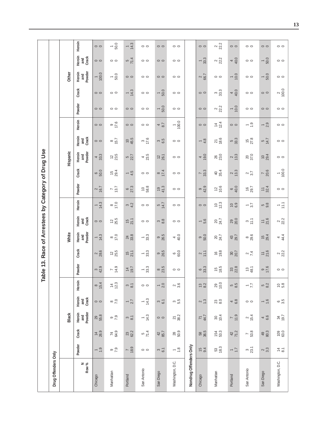|                                           |                     |          | Heroin                  | $\circ$           | 50.0<br>$\overline{\phantom{0}}$ | $rac{4}{3}$            | $\circ$                          | $\circ$                          | $\circ$           |                        | $\circ$              | 22.2                        | $\circ$          | $\circ$            | $\circ$                          | $\circ$            |
|-------------------------------------------|---------------------|----------|-------------------------|-------------------|----------------------------------|------------------------|----------------------------------|----------------------------------|-------------------|------------------------|----------------------|-----------------------------|------------------|--------------------|----------------------------------|--------------------|
|                                           |                     |          | Heroin<br>Crack<br>and  | $\circ$           | $\circ$                          | $5\frac{71.4}{ }$      | $\circ$                          | $\circ$                          | $\circ$           |                        | $-33.3$              | 22.2                        | 40.0             | $\circ$            | $-50.0$                          | $\circ$            |
|                                           |                     | Other    | Heroin<br>and<br>Powder | 100.0             | $-500$                           | $\circ$                | $\circ$                          | $\circ$                          | $\circ$           |                        | $2^{2}$              | $\circ$                     | $-0.0$           | $\circ$            | 50.0<br>$\overline{\phantom{0}}$ | $\circ$            |
|                                           |                     |          | Crack                   | $\circ$           | $\circ$                          | $-4.3$                 | $\circ$                          | $-50.0$                          | $\circ$           |                        | $\circ$              | ა<br>ვვ                     | 40.0             | $\circ$            | $\circ$                          | $\frac{2}{100.0}$  |
|                                           |                     |          | Powder                  | $\circ$           | $\circ$                          | $\circ$                | $\circ$                          | 50.0<br>$\overline{\phantom{0}}$ | $\circ$           |                        | $\circ$              | 22.2                        | $-0.0$           | $\circ$            | $\circ$                          | $\circ$            |
|                                           |                     |          | Heroin                  | $\circ$           | $^{9}$ .6                        | $\circ$                | $\circ$                          | $4\overline{8.7}$                | $\frac{1}{100.0}$ |                        | $\circ$              | $\frac{1}{4}$ $\frac{7}{4}$ | $\circ$          | $-20$              | $-20$                            | $\circ$            |
|                                           |                     |          | Heroin<br>Crack<br>and  | $\circ$           | $8\overline{15.7}$               | 45.5<br>$\overline{0}$ | $3 \frac{3}{17.6}$               | ო<br>6.5                         | $\circ$           |                        | $-4.8$               | $\frac{21}{18.6}$           | 5<br>33.3        | $15$<br>27.8       | $\frac{5}{14.7}$                 | $\circ$            |
|                                           |                     | Hispanic | Heroin<br>and<br>Powder | 33.3<br>4         | $12^{25}$                        | 5/22.7                 | $4\overline{23.5}$               | $12$<br>$26.1$                   | $\circ$           |                        | $\frac{4}{9.0}$      | 26<br>23.0                  | $\frac{2}{13.3}$ | 20<br>37.0         | $^{10}_{29.4}$                   | $\circ$            |
|                                           |                     |          | Crack                   | 60.0              | $15$<br>29.4                     | $-4.5$                 | $\circ$                          | 17.4                             | $\circ$           |                        | $7 \overline{33.3}$  | $40$<br>35.4                | $\frac{2}{13.3}$ | $\frac{2}{3}$      | 78.6                             | $-600$             |
| Race of Arrestees by Category of Drug Use |                     |          | Powder                  | 16.7              | $7 \over 13.7$                   | $6\over 27.3$          | 58.8<br>$\tilde{0}$              | $\frac{19}{41.3}$                | $\circ$           |                        | 99429                | $\frac{12}{10.6}$           | $rac{6}{40.0}$   | $\frac{16}{29.7}$  | 1/32.4                           | $\circ$            |
|                                           |                     |          | Heroin                  | $rac{1}{4}$       | $rac{8}{17.0}$                   | 34.2                   | $\circ$ $\circ$                  | $\frac{5}{14.7}$                 | $\circ$           |                        | $\circ$              | $10^{2}$                    | $\frac{6.9}{6}$  | $\frac{1}{3}$      | ნ ვ<br>მ                         | $-\frac{1}{2}$     |
|                                           |                     |          | Heroin<br>Crack<br>and  | $\circ$           | $12^{25}$                        | $15$<br>21.1           | $\circ$                          | $\frac{3}{8}$                    | $\circ$           |                        | $-5.6$               | 20<br>24.7                  | 29<br>20.0       | $\frac{3}{11}$     | $rac{1}{21.6}$                   | 22.2               |
|                                           |                     | White    | Powder<br>Heroin<br>and | 14.3              | $rac{8}{17.0}$                   | $24$<br>33.8           | $-33.3$                          | 98.5                             | 40.0              |                        | $\frac{9}{50.0}$     | 24.7                        | 43<br>29.7       | $8\frac{8}{29.6}$  | $15$<br>29.4                     | 44.4               |
|                                           |                     |          | Crack                   | 28.6              | $12^{25}$                        | $15$<br>21.1           | $-33.3$                          | 98.5                             | 60.0              |                        | $2 \div 1$           | $\frac{6}{9}$               | 30,7             | $\frac{2}{7}$      | $rac{1}{21.6}$                   | 22.2               |
| <b>ible 13.</b>                           |                     |          | Powder                  | $3^{0.9}$         | 74.9                             | 19.7                   | $-33.3$                          | $\frac{8}{23.5}$                 | $\circ$           |                        | $6\overline{33.3}$   | 16.5                        | 33 <sup>8</sup>  | $13^{48}$          | $\frac{9}{17.6}$                 | $\circ$            |
| <u>ե</u>                                  |                     |          | Heroin                  | $rac{8}{15.4}$    | $14 \over 2.3$                   | $\frac{3}{8}$          | $\circ$                          | $\frac{1}{2}$                    | $\frac{2}{3}$ .6  |                        | $\frac{2}{8}$        | 29<br>10.0                  | 5 8.5            | $\frac{17}{7}$     | 5 8 2                            | $\frac{6}{5}$      |
|                                           |                     |          | Heroin<br>and<br>Crack  | $\circ$           | $\frac{8}{2}$                    | $\frac{1}{2}$          | $-4.3$                           | $\frac{3}{6}$                    | ო <u>წ</u>        |                        | $\sim$ $\frac{3}{1}$ | $23$ $8.0$                  | $4\frac{8}{8}$   | $\circ$            | $-9.5$                           | စ <u>ကို</u>       |
|                                           |                     | Black    | Heroin<br>and<br>Powder | <b>29</b><br>55.8 | $\frac{6}{2}$                    | $\frac{3}{8}$          | 14.3<br>$\overline{\phantom{0}}$ | $\circ$                          | $\frac{21}{38.2}$ |                        | $71$<br>$44.7$       | $\frac{101}{4}$             | 7, 9             | $4\overline{6}$    | $4\frac{6}{6}$                   | 49.7               |
|                                           |                     |          | Crack                   | $14$<br>26.9      | 74<br>64.9                       | <b>23</b><br>62.2      | $\frac{5}{71.4}$                 | $42$ 85.7                        | <b>28</b><br>50.9 |                        | 58<br>36.5           | <b>154<br/>53.3</b>         | $42$<br>71.2     | 78.8               | $49$<br>80.3                     | $\frac{109}{63.0}$ |
|                                           |                     |          | Powder                  | $-9$              | $\frac{6}{2}$                    | 78.9                   | $\circ$                          | $\frac{3}{6}$                    | $-\frac{8}{10}$   |                        | $\frac{6}{9}$        | 53<br>18.3                  | $\frac{7}{7}$    | $3\overline{3}$ .1 | $\frac{2}{3}$                    | $rac{4}{4}$        |
|                                           | Drug Offenders Only |          | Now %                   | Chicago           | Manhattan                        | Portland               | San Antonio                      | San Diego                        | Washington, D.C.  | Nondrug Offenders Only | Chicago              | Manhattan                   | Portland         | San Antonio        | San Diego                        | Washington, D.C.   |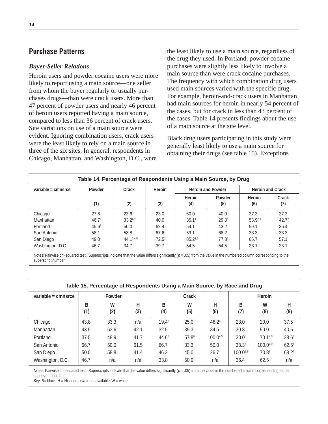## **Purchase Patterns**

#### *Buyer-Seller Relations*

Heroin users and powder cocaine users were more likely to report using a main source—one seller from whom the buyer regularly or usually purchases drugs—than were crack users. More than 47 percent of powder users and nearly 46 percent of heroin users reported having a main source, compared to less than 36 percent of crack users. Site variations on use of a main source were evident. Ignoring combination users, crack users were the least likely to rely on a main source in three of the six sites. In general, respondents in Chicago, Manhattan, and Washington, D.C., were

the least likely to use a main source, regardless of the drug they used. In Portland, powder cocaine purchases were slightly less likely to involve a main source than were crack cocaine purchases. The frequency with which combination drug users used main sources varied with the specific drug. For example, heroin-and-crack users in Manhattan had main sources for heroin in nearly 54 percent of the cases, but for crack in less than 43 percent of the cases. Table 14 presents findings about the use of a main source at the site level.

Black drug users participating in this study were generally least likely to use a main source for obtaining their drugs (see table 15). Exceptions

|                      | Table 14. Percentage of Respondents Using a Main Source, by Drug |           |                   |                   |                          |                         |                   |
|----------------------|------------------------------------------------------------------|-----------|-------------------|-------------------|--------------------------|-------------------------|-------------------|
| variable = $cmnsrce$ | Powder                                                           | Crack     | Heroin            |                   | <b>Heroin and Powder</b> | <b>Heroin and Crack</b> |                   |
|                      | (1)                                                              | (2)       | (3)               | Heroin<br>(4)     | <b>Powder</b><br>(5)     | <b>Heroin</b><br>(6)    | Crack<br>(7)      |
| Chicago              | 27.8                                                             | 23.6      | 23.0              | 60.0              | 40.0                     | 27.3                    | 27.3              |
| Manhattan            | 46.7 <sup>4</sup>                                                | 33.26,7   | 40.0              | 35.1 <sup>1</sup> | 29.8 <sup>6</sup>        | 53.92,5                 | 42.7 <sup>2</sup> |
| Portland             | $45.6^3$                                                         | 50.0      | 62.4 <sup>1</sup> | 54.1              | 43.2                     | 59.1                    | 36.4              |
| San Antonio          | 58.1                                                             | 58.8      | 67.6              | 59.1              | 68.2                     | 33.3                    | 33.3              |
| San Diego            | 49.0 <sup>4</sup>                                                | 44.13,4,5 | $72.5^2$          | $85.2^{1,2}$      | $77.8^2$                 | 66.7                    | 57.1              |
| Washington, D.C.     | 46.7                                                             | 34.7      | 39.7              | 54.5              | 54.5                     | 23.1                    | 23.1              |

Notes: Pairwise chi-squared test. Superscripts indicate that the value differs significantly  $(p = .05)$  from the value in the numbered column corresponding to the superscript number.

|                    |          | Table 15. Percentage of Respondents Using a Main Source, by Race and Drug |          |                   |          |          |               |               |          |
|--------------------|----------|---------------------------------------------------------------------------|----------|-------------------|----------|----------|---------------|---------------|----------|
| variable = cmnsrce |          | Powder                                                                    |          |                   | Crack    |          |               | <b>Heroin</b> |          |
|                    | В<br>(1) | W<br>(2)                                                                  | н<br>(3) | B<br>(4)          | W<br>(5) | н<br>(6) | в<br>(7)      | W<br>(8)      | н<br>(9) |
| Chicago            | 43.8     | 33.3                                                                      | n/a      | 19.46             | 25.0     | 46.24    | 23.0          | 20.0          | 37.5     |
| Manhattan          | 43.5     | 63.6                                                                      | 42.1     | 32.5              | 39.3     | 34.5     | 30.8          | 50.0          | 40.5     |
| Portland           | 37.5     | 48.9                                                                      | 41.7     | 44.6 <sup>6</sup> | 57.86    | 100.045  | $30.0^8$      | $70.1^{7,9}$  | $28.6^8$ |
| San Antonio        | 66.7     | 50.0                                                                      | 61.5     | 66.7              | 33.3     | 50.0     | $33.3^8$      | $100.0^{7,9}$ | $62.5^8$ |
| San Diego          | 50.0     | 58.8                                                                      | 41.4     | 46.2              | 45.0     | 26.7     | $100.0^{8,9}$ | 70.87         | 68.27    |
| Washington, D.C.   | 46.7     | n/a                                                                       | n/a      | 33.8              | 50.0     | n/a      | 36.4          | 62.5          | n/a      |

Notes: Pairwise chi-squared test. Superscripts indicate that the value differs significantly  $(p = .05)$  from the value in the numbered column corresponding to the superscript number.

Key: B= black, H = Hispanic,  $n/a$  = not available, W = white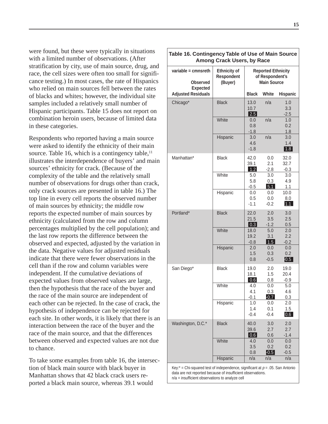were found, but these were typically in situations with a limited number of observations. (After stratification by city, use of main source, drug, and race, the cell sizes were often too small for significance testing.) In most cases, the rate of Hispanics who relied on main sources fell between the rates of blacks and whites; however, the individual site samples included a relatively small number of Hispanic participants. Table 15 does not report on combination heroin users, because of limited data in these categories.

Respondents who reported having a main source were asked to identify the ethnicity of their main source. Table 16, which is a contingency table, $<sup>11</sup>$ </sup> illustrates the interdependence of buyers' and main sources' ethnicity for crack. (Because of the complexity of the table and the relatively small number of observations for drugs other than crack, only crack sources are presented in table 16.) The top line in every cell reports the observed number of main sources by ethnicity; the middle row reports the expected number of main sources by ethnicity (calculated from the row and column percentages multiplied by the cell population); and the last row reports the difference between the observed and expected, adjusted by the variation in the data. Negative values for adjusted residuals indicate that there were fewer observations in the cell than if the row and column variables were independent. If the cumulative deviations of expected values from observed values are large, then the hypothesis that the race of the buyer and the race of the main source are independent of each other can be rejected. In the case of crack, the hypothesis of independence can be rejected for each site. In other words, it is likely that there is an interaction between the race of the buyer and the race of the main source, and that the differences between observed and expected values are not due to chance.

To take some examples from table 16, the intersection of black main source with black buyer in Manhattan shows that 42 black crack users reported a black main source, whereas 39.1 would

| Table 16. Contingency Table of Use of Main Source         | Among Crack Users, by Race                   |                                   |                                                                    |                             |
|-----------------------------------------------------------|----------------------------------------------|-----------------------------------|--------------------------------------------------------------------|-----------------------------|
| variable = cmnsreth<br><b>Observed</b><br><b>Expected</b> | <b>Ethnicity of</b><br>Respondent<br>(Buyer) |                                   | <b>Reported Ethnicity</b><br>of Respondent's<br><b>Main Source</b> |                             |
| <b>Adjusted Residuals</b>                                 |                                              | <b>Black</b>                      | White                                                              | <b>Hispanic</b>             |
| Chicago*                                                  | <b>Black</b>                                 | 13.0<br>10.7<br> 2.5              | n/a                                                                | 1.0<br>3.3<br>$-2.5$        |
|                                                           | White                                        | 0.0<br>0.8<br>$-1.8$              | n/a                                                                | 1.0<br>0.2<br>1.8           |
|                                                           | Hispanic                                     | 3.0<br>4.6<br>$-1.8$              | n/a                                                                | 3.0<br>1.4<br>1.8           |
| Manhattan*                                                | <b>Black</b>                                 | 42.0<br>39.1<br>1.2               | 0.0<br>2.1<br>$-2.8$                                               | 32.0<br>32.7<br>$-0.3$      |
|                                                           | White                                        | 5.0<br>5.8<br>$-0.5$              | 3.0<br>0.3<br>5.1                                                  | 3.0<br>4.9<br>1.1           |
|                                                           | Hispanic                                     | 0.0<br>0.5<br>$-1.1$              | 0.0<br>0.0<br>$-0.2$                                               | 10.0<br>8.0<br>1.1          |
| Portland*                                                 | <b>Black</b>                                 | 22.0<br>21.5<br>$\vert 0.3 \vert$ | 2.0<br>3.5<br>$-1.2$                                               | 3.0<br>2.5<br>0.5           |
|                                                           | White                                        | 18.0<br>19.2<br>$-0.8$            | 5.0<br>3.1<br>1.5                                                  | 2.0<br>2.2<br>$-0.2$        |
|                                                           | Hispanic                                     | 2.0<br>1.5<br>0.8                 | 0.0<br>0.3<br>$-0.5$                                               | 0.0<br>0.2<br>$ 0.5\rangle$ |
| San Diego*                                                | <b>Black</b>                                 | 19.0<br>18.1<br>0.6               | 2.0<br>1.5<br>0.8                                                  | 19.0<br>20.4<br>$-0.9$      |
|                                                           | White                                        | 4.0<br>4.1<br>-0.1                | 0.0<br>0.3<br>$-0.7$                                               | 5.0<br>4.6<br>0.3           |
|                                                           | Hispanic                                     | 1.0<br>1.4<br>$-0.4$              | 0.0<br>0.1<br>$-0.4$                                               | 2.0<br>1.5<br>0.6           |
| Washington, D.C.*                                         | <b>Black</b>                                 | 40.0<br>39.6<br>0.6               | 3.0<br>2.7<br>0.6                                                  | 2.0<br>2.7<br>$-1.4$        |
|                                                           | White                                        | 4.0<br>3.5<br>0.8                 | 0.0<br>0.2<br>$-0.5$                                               | 0.0<br>0.2<br>$-0.5$        |
|                                                           | Hispanic                                     | n/a                               | n/a                                                                | n/a                         |

Key: $*$  = Chi-squared test of independence, significant at  $p = .05$ . San Antonio data are not reported because of insufficient observations. n/a = insufficient observations to analyze cell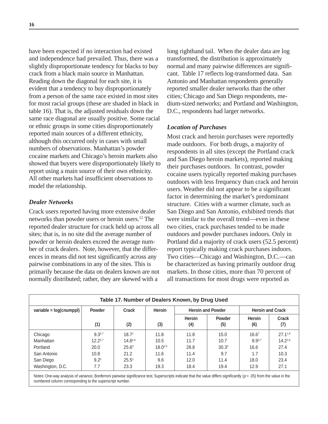have been expected if no interaction had existed and independence had prevailed. Thus, there was a slightly disproportionate tendency for blacks to buy crack from a black main source in Manhattan. Reading down the diagonal for each site, it is evident that a tendency to buy disproportionately from a person of the same race existed in most sites for most racial groups (these are shaded in black in table 16). That is, the adjusted residuals down the same race diagonal are usually positive. Some racial or ethnic groups in some cities disproportionately reported main sources of a different ethnicity, although this occurred only in cases with small numbers of observations. Manhattan's powder cocaine markets and Chicago's heroin markets also showed that buyers were disproportionately likely to report using a main source of their own ethnicity. All other markets had insufficient observations to model the relationship.

#### *Dealer Networks*

Crack users reported having more extensive dealer networks than powder users or heroin users.12 The reported dealer structure for crack held up across all sites; that is, in no site did the average number of powder or heroin dealers exceed the average number of crack dealers. Note, however, that the differences in means did not test significantly across any pairwise combinations in any of the sites. This is primarily because the data on dealers known are not normally distributed; rather, they are skewed with a

long righthand tail. When the dealer data are log transformed, the distribution is approximately normal and many pairwise differences are significant. Table 17 reflects log-transformed data. San Antonio and Manhattan respondents generally reported smaller dealer networks than the other cities; Chicago and San Diego respondents, medium-sized networks; and Portland and Washington, D.C., respondents had larger networks.

#### *Location of Purchases*

Most crack and heroin purchases were reportedly made outdoors. For both drugs, a majority of respondents in all sites (except the Portland crack and San Diego heroin markets), reported making their purchases outdoors. In contrast, powder cocaine users typically reported making purchases outdoors with less frequency than crack and heroin users. Weather did not appear to be a significant factor in determining the market's predominant structure. Cities with a warmer climate, such as San Diego and San Antonio, exhibited trends that were similar to the overall trend—even in these two cities, crack purchases tended to be made outdoors and powder purchases indoors. Only in Portland did a majority of crack users (52.5 percent) report typically making crack purchases indoors. Two cities—Chicago and Washington, D.C.—can be characterized as having primarily outdoor drug markets. In those cities, more than 70 percent of all transactions for most drugs were reported as

|                         |               |                   |               | Table 17. Number of Dealers Known, by Drug Used |                          |                      |                         |
|-------------------------|---------------|-------------------|---------------|-------------------------------------------------|--------------------------|----------------------|-------------------------|
| variable = log(cnumppl) | <b>Powder</b> | Crack             | <b>Heroin</b> |                                                 | <b>Heroin and Powder</b> |                      | <b>Heroin and Crack</b> |
|                         | (1)           | (2)               | (3)           | Heroin<br>(4)                                   | Powder<br>(5)            | <b>Heroin</b><br>(6) | Crack<br>(7)            |
| Chicago                 | $9.3^{2,7}$   | 18.7 <sup>1</sup> | 11.8          | 11.8                                            | 15.0                     | 16.6 <sup>7</sup>    | $27.1^{1,6}$            |
| Manhattan               | $12.2^{2.7}$  | $14.8^{1,6}$      | 10.5          | 11.7                                            | 10.7                     | $8.9^{2,7}$          | 14.21,6                 |
| Portland                | 20.0          | $25.6^3$          | $18.0^{2,5}$  | 28.8                                            | 30.3 <sup>3</sup>        | 16.6                 | 27.4                    |
| San Antonio             | 10.8          | 21.2              | 11.6          | 11.4                                            | 9.7                      | 1.7                  | 10.3                    |
| San Diego               | $9.2^2$       | 25.5 <sup>1</sup> | 9.6           | 12.0                                            | 11.4                     | 18.0                 | 23.4                    |
| Washington, D.C.        | 7.7           | 23.3              | 19.3          | 18.4                                            | 19.4                     | 12.9                 | 27.1                    |

Notes: One-way analysis of variance, Bonferroni pairwise significance test. Superscripts indicate that the value differs significantly ( $p = .05$ ) from the value in the numbered column corresponding to the superscript number.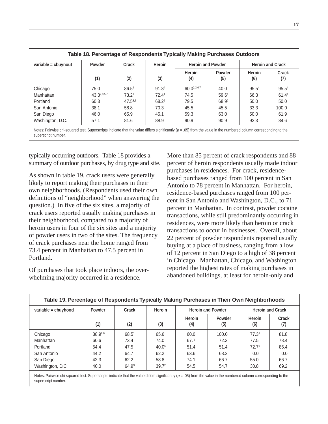| variable = cbuynout | Powder      | Crack             | <b>Heroin</b>     | <b>Heroin and Powder</b> |                      |                   | <b>Heroin and Crack</b> |
|---------------------|-------------|-------------------|-------------------|--------------------------|----------------------|-------------------|-------------------------|
|                     | (1)         | (2)               | (3)               | Heroin<br>(4)            | <b>Powder</b><br>(5) | Heroin<br>(6)     | Crack<br>(7)            |
| Chicago             | 75.0        | 86.5 <sup>4</sup> | 91.84             | $60.0^{2,3,6,7}$         | 40.0                 | 95.5 <sup>4</sup> | 95.5 <sup>4</sup>       |
| Manhattan           | 43.32,3,5,7 | 73.21             | 72.4 <sup>1</sup> | 74.5                     | 59.6 <sup>1</sup>    | 66.3              | 61.4 <sup>1</sup>       |
| Portland            | 60.3        | $47.5^{3,5}$      | $68.2^2$          | 79.5                     | 68.92                | 50.0              | 50.0                    |
| San Antonio         | 38.1        | 58.8              | 70.3              | 45.5                     | 45.5                 | 33.3              | 100.0                   |
| San Diego           | 46.0        | 65.9              | 45.1              | 59.3                     | 63.0                 | 50.0              | 61.9                    |
| Washington, D.C.    | 57.1        | 81.6              | 88.9              | 90.9                     | 90.9                 | 92.3              | 84.6                    |

typically occurring outdoors. Table 18 provides a summary of outdoor purchases, by drug type and site.

As shown in table 19, crack users were generally likely to report making their purchases in their own neighborhoods. (Respondents used their own definitions of "neighborhood" when answering the question.) In five of the six sites, a majority of crack users reported usually making purchases in their neighborhood, compared to a majority of heroin users in four of the six sites and a majority of powder users in two of the sites. The frequency of crack purchases near the home ranged from 73.4 percent in Manhattan to 47.5 percent in Portland.

Of purchases that took place indoors, the overwhelming majority occurred in a residence.

More than 85 percent of crack respondents and 88 percent of heroin respondents usually made indoor purchases in residences. For crack, residencebased purchases ranged from 100 percent in San Antonio to 78 percent in Manhattan. For heroin, residence-based purchases ranged from 100 percent in San Antonio and Washington, D.C., to 71 percent in Manhattan. In contrast, powder cocaine transactions, while still predominantly occurring in residences, were more likely than heroin or crack transactions to occur in businesses. Overall, about 22 percent of powder respondents reported usually buying at a place of business, ranging from a low of 12 percent in San Diego to a high of 38 percent in Chicago. Manhattan, Chicago, and Washington reported the highest rates of making purchases in abandoned buildings, at least for heroin-only and

| variable = cbuyhood | <b>Powder</b> | Crack             | <b>Heroin</b>     |               | <b>Heroin and Powder</b> |                   | <b>Heroin and Crack</b> |
|---------------------|---------------|-------------------|-------------------|---------------|--------------------------|-------------------|-------------------------|
|                     | (1)           | (2)               | (3)               | Heroin<br>(4) | <b>Powder</b><br>(5)     | Heroin<br>(6)     | Crack<br>(7)            |
| Chicago             | 38.92,6       | 68.5 <sup>1</sup> | 65.6              | 60.0          | 100.0                    | 77.3 <sup>1</sup> | 81.8                    |
| Manhattan           | 60.6          | 73.4              | 74.0              | 67.7          | 72.3                     | 77.5              | 78.4                    |
| Portland            | 54.4          | 47.5              | 40.0 <sup>6</sup> | 51.4          | 51.4                     | 72.7 <sup>3</sup> | 86.4                    |
| San Antonio         | 44.2          | 64.7              | 62.2              | 63.6          | 68.2                     | 0.0               | 0.0                     |
| San Diego           | 42.3          | 62.2              | 58.8              | 74.1          | 66.7                     | 55.0              | 66.7                    |
| Washington, D.C.    | 40.0          | 64.9 <sup>3</sup> | 39.7 <sup>2</sup> | 54.5          | 54.7                     | 30.8              | 69.2                    |

Notes: Pairwise chi-squared test. Superscripts indicate that the value differs significantly  $(p = .05)$  from the value in the numbered column corresponding to the superscript number.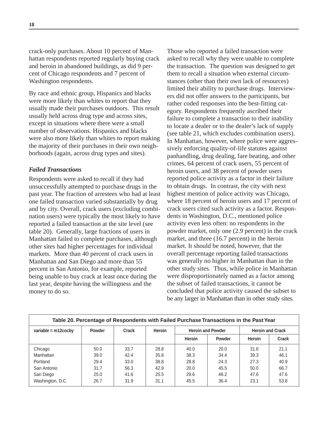crack-only purchases. About 10 percent of Manhattan respondents reported regularly buying crack and heroin in abandoned buildings, as did 9 percent of Chicago respondents and 7 percent of Washington respondents.

By race and ethnic group, Hispanics and blacks were more likely than whites to report that they usually made their purchases outdoors. This result usually held across drug type and across sites, except in situations where there were a small number of observations. Hispanics and blacks were also more likely than whites to report making the majority of their purchases in their own neighborhoods (again, across drug types and sites).

#### *Failed Transactions*

Respondents were asked to recall if they had unsuccessfully attempted to purchase drugs in the past year. The fraction of arrestees who had at least one failed transaction varied substantially by drug and by city. Overall, crack users (excluding combination users) were typically the most likely to have reported a failed transaction at the site level (see table 20). Generally, large fractions of users in Manhattan failed to complete purchases, although other sites had higher percentages for individual markets. More than 40 percent of crack users in Manhattan and San Diego and more than 55 percent in San Antonio, for example, reported being unable to buy crack at least once during the last year, despite having the willingness and the money to do so.

Those who reported a failed transaction were asked to recall why they were unable to complete the transaction. The question was designed to get them to recall a situation when external circumstances (other than their own lack of resources) limited their ability to purchase drugs. Interviewers did not offer answers to the participants, but rather coded responses into the best-fitting category. Respondents frequently ascribed their failure to complete a transaction to their inability to locate a dealer or to the dealer's lack of supply (see table 21, which excludes combination users). In Manhattan, however, where police were aggressively enforcing quality-of-life statutes against panhandling, drug dealing, fare beating, and other crimes, 64 percent of crack users, 55 percent of heroin users, and 38 percent of powder users reported police activity as a factor in their failure to obtain drugs. In contrast, the city with next highest mention of police activity was Chicago, where 18 percent of heroin users and 17 percent of crack users cited such activity as a factor. Respondents in Washington, D.C., mentioned police activity even less often: no respondents in the powder market, only one (2.9 percent) in the crack market, and three (16.7 percent) in the heroin market. It should be noted, however, that the overall percentage reporting failed transactions was generally no higher in Manhattan than in the other study sites. Thus, while police in Manhattan were disproportionately named as a factor among the subset of failed transactions, it cannot be concluded that police activity caused the subset to be any larger in Manhattan than in other study sites.

|                        | Table 20. Percentage of Respondents with Failed Purchase Transactions in the Past Year |       |        |               |                          |        |                         |
|------------------------|----------------------------------------------------------------------------------------|-------|--------|---------------|--------------------------|--------|-------------------------|
| variable = $m12$ cocby | <b>Powder</b>                                                                          | Crack | Heroin |               | <b>Heroin and Powder</b> |        | <b>Heroin and Crack</b> |
|                        |                                                                                        |       |        | <b>Heroin</b> | <b>Powder</b>            | Heroin | Crack                   |
| Chicago                | 50.0                                                                                   | 33.7  | 28.8   | 40.0          | 20.0                     | 31.6   | 21.1                    |
| Manhattan              | 39.0                                                                                   | 42.4  | 35.8   | 38.3          | 34.4                     | 39.3   | 46.1                    |
| Portland               | 29.4                                                                                   | 33.0  | 38.8   | 28.8          | 24.3                     | 27.3   | 40.9                    |
| San Antonio            | 31.7                                                                                   | 56.3  | 42.9   | 20.0          | 45.5                     | 50.0   | 66.7                    |
| San Diego              | 25.0                                                                                   | 41.6  | 25.5   | 29.6          | 46.2                     | 47.6   | 47.6                    |
| Washington, D.C.       | 26.7                                                                                   | 31.9  | 31.1   | 45.5          | 36.4                     | 23.1   | 53.8                    |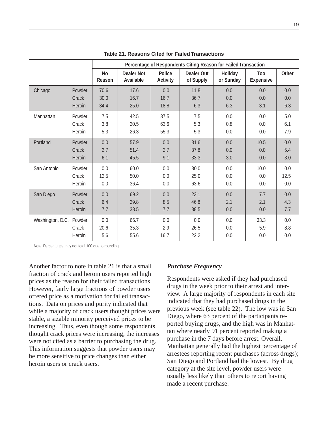|                                                                                 |                 |                     |                                       |                                  | <b>Table 21. Reasons Cited for Failed Transactions</b>         |                      |                                |                   |
|---------------------------------------------------------------------------------|-----------------|---------------------|---------------------------------------|----------------------------------|----------------------------------------------------------------|----------------------|--------------------------------|-------------------|
|                                                                                 |                 |                     |                                       |                                  | Percentage of Respondents Citing Reason for Failed Transaction |                      |                                |                   |
|                                                                                 |                 | <b>No</b><br>Reason | <b>Dealer Not</b><br><b>Available</b> | <b>Police</b><br><b>Activity</b> | <b>Dealer Out</b><br>of Supply                                 | Holiday<br>or Sunday | <b>Too</b><br><b>Expensive</b> | <b>Other</b>      |
| Chicago                                                                         | Powder          | 70.6                | 17.6                                  | 0.0                              | 11.8                                                           | 0.0                  | 0.0                            | 0.0               |
|                                                                                 | Crack           | 30.0                | 16.7                                  | 16.7                             | 36.7                                                           | 0.0                  | 0.0                            | 0.0               |
|                                                                                 | Heroin          | 34.4                | 25.0                                  | 18.8                             | 6.3                                                            | 6.3                  | 3.1                            | 6.3               |
| Manhattan                                                                       | Powder          | 7.5                 | 42.5                                  | 37.5                             | 7.5                                                            | 0.0                  | 0.0                            | 5.0               |
|                                                                                 | Crack           | 3.8                 | 20.5                                  | 63.6                             | 5.3                                                            | 0.8                  | 0.0                            | 6.1               |
|                                                                                 | Heroin          | 5.3                 | 26.3                                  | 55.3                             | 5.3                                                            | 0.0                  | 0.0                            | 7.9               |
| Portland                                                                        | Powder          | 0.0                 | 57.9                                  | 0.0                              | 31.6                                                           | 0.0                  | 10.5                           | 0.0               |
|                                                                                 | Crack           | 2.7                 | 51.4                                  | 2.7                              | 37.8                                                           | 0.0                  | 0.0                            | 5.4               |
|                                                                                 | Heroin          | 6.1                 | 45.5                                  | 9.1                              | 33.3                                                           | 3.0                  | 0.0                            | 3.0               |
| San Antonio                                                                     | Powder          | 0.0                 | 60.0                                  | 0.0                              | 30.0                                                           | 0.0                  | 10.0                           | 0.0               |
|                                                                                 | Crack           | 12.5                | 50.0                                  | 0.0                              | 25.0                                                           | 0.0                  | 0.0                            | 12.5              |
|                                                                                 | Heroin          | 0.0                 | 36.4                                  | 0.0                              | 63.6                                                           | 0.0                  | 0.0                            | 0.0               |
| San Diego                                                                       | Powder          | 0.0                 | 69.2                                  | 0.0                              | 23.1                                                           | 0.0                  | 7.7                            | 0.0               |
|                                                                                 | Crack           | 6.4                 | 29.8                                  | 8.5                              | 46.8                                                           | 2.1                  | 2.1                            | 4.3               |
|                                                                                 | Heroin          | 7.7                 | 38.5                                  | 7.7                              | 38.5                                                           | 0.0                  | 0.0                            | 7.7               |
| Washington, D.C. Powder<br>Note: Percentages may not total 100 due to rounding. | Crack<br>Heroin | 0.0<br>20.6<br>5.6  | 66.7<br>35.3<br>55.6                  | 0.0<br>2.9<br>16.7               | 0.0<br>26.5<br>22.2                                            | 0.0<br>0.0<br>0.0    | 33.3<br>5.9<br>0.0             | 0.0<br>8.8<br>0.0 |

Another factor to note in table 21 is that a small fraction of crack and heroin users reported high prices as the reason for their failed transactions. However, fairly large fractions of powder users offered price as a motivation for failed transactions. Data on prices and purity indicated that while a majority of crack users thought prices were stable, a sizable minority perceived prices to be increasing. Thus, even though some respondents thought crack prices were increasing, the increases were not cited as a barrier to purchasing the drug. This information suggests that powder users may be more sensitive to price changes than either heroin users or crack users.

#### *Purchase Frequency*

Respondents were asked if they had purchased drugs in the week prior to their arrest and interview. A large majority of respondents in each site indicated that they had purchased drugs in the previous week (see table 22). The low was in San Diego, where 63 percent of the participants reported buying drugs, and the high was in Manhattan where nearly 91 percent reported making a purchase in the 7 days before arrest. Overall, Manhattan generally had the highest percentage of arrestees reporting recent purchases (across drugs); San Diego and Portland had the lowest. By drug category at the site level, powder users were usually less likely than others to report having made a recent purchase.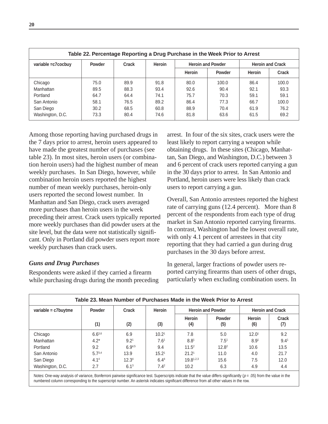| Table 22. Percentage Reporting a Drug Purchase in the Week Prior to Arrest |               |       |        |                          |               |                         |              |
|----------------------------------------------------------------------------|---------------|-------|--------|--------------------------|---------------|-------------------------|--------------|
| variable = c7 cocbuy                                                       | <b>Powder</b> | Crack | Heroin | <b>Heroin and Powder</b> |               | <b>Heroin and Crack</b> |              |
|                                                                            |               |       |        | <b>Heroin</b>            | <b>Powder</b> | Heroin                  | <b>Crack</b> |
| Chicago                                                                    | 75.0          | 89.9  | 91.8   | 80.0                     | 100.0         | 86.4                    | 100.0        |
| Manhattan                                                                  | 89.5          | 88.3  | 93.4   | 92.6                     | 90.4          | 92.1                    | 93.3         |
| Portland                                                                   | 64.7          | 64.4  | 74.1   | 75.7                     | 70.3          | 59.1                    | 59.1         |
| San Antonio                                                                | 58.1          | 76.5  | 89.2   | 86.4                     | 77.3          | 66.7                    | 100.0        |
| San Diego                                                                  | 30.2          | 68.5  | 60.8   | 88.9                     | 70.4          | 61.9                    | 76.2         |
| Washington, D.C.                                                           | 73.3          | 80.4  | 74.6   | 81.8                     | 63.6          | 61.5                    | 69.2         |

Among those reporting having purchased drugs in the 7 days prior to arrest, heroin users appeared to have made the greatest number of purchases (see table 23). In most sites, heroin users (or combination heroin users) had the highest number of mean weekly purchases. In San Diego, however, while combination heroin users reported the highest number of mean weekly purchases, heroin-only users reported the second lowest number. In Manhattan and San Diego, crack users averaged more purchases than heroin users in the week preceding their arrest. Crack users typically reported more weekly purchases than did powder users at the site level, but the data were not statistically significant. Only in Portland did powder users report more weekly purchases than crack users.

#### *Guns and Drug Purchases*

Respondents were asked if they carried a firearm while purchasing drugs during the month preceding arrest. In four of the six sites, crack users were the least likely to report carrying a weapon while obtaining drugs. In these sites (Chicago, Manhattan, San Diego, and Washington, D.C.) between 3 and 6 percent of crack users reported carrying a gun in the 30 days prior to arrest. In San Antonio and Portland, heroin users were less likely than crack users to report carrying a gun.

Overall, San Antonio arrestees reported the highest rate of carrying guns (12.4 percent). More than 8 percent of the respondents from each type of drug market in San Antonio reported carrying firearms. In contrast, Washington had the lowest overall rate, with only 4.1 percent of arrestees in that city reporting that they had carried a gun during drug purchases in the 30 days before arrest.

In general, larger fractions of powder users reported carrying firearms than users of other drugs, particularly when excluding combination users. In

| Table 23. Mean Number of Purchases Made in the Week Prior to Arrest |                  |                   |                   |                   |                          |                   |                         |  |
|---------------------------------------------------------------------|------------------|-------------------|-------------------|-------------------|--------------------------|-------------------|-------------------------|--|
| variable = $c7$ buytme                                              | <b>Powder</b>    | Crack             | Heroin            |                   | <b>Heroin and Powder</b> |                   | <b>Heroin and Crack</b> |  |
|                                                                     | (1)              | (2)               | (3)               | Heroin<br>(4)     | Powder<br>(5)            | Heroin<br>(6)     | Crack<br>(7)            |  |
| Chicago                                                             | $6.6^{3,6}$      | 6.9               | 10.2 <sup>1</sup> | 7.8               | 5.0                      | 12.0 <sup>1</sup> | 9.2                     |  |
| Manhattan                                                           | $4.2*$           | 9.2 <sup>1</sup>  | 7.6 <sup>1</sup>  | 8.8 <sup>1</sup>  | 7.5 <sup>1</sup>         | 8.9 <sup>1</sup>  | 9.4 <sup>1</sup>        |  |
| Portland                                                            | 9.2              | $6.9^{4,5}$       | 9.4               | $11.5^2$          | $12.8^2$                 | 10.6              | 13.5                    |  |
| San Antonio                                                         | $5.7^{3,4}$      | 13.9              | 15.2 <sup>1</sup> | 21.2 <sup>1</sup> | 11.0                     | 4.0               | 21.7                    |  |
| San Diego                                                           | 4.1 <sup>4</sup> | 12.3 <sup>4</sup> | 6.44              | $19.8^{1,2,3}$    | 15.6                     | 7.5               | 12.0                    |  |
| Washington, D.C.                                                    | 2.7              | 6.1 <sup>3</sup>  | $7.4^2$           | 10.2              | 6.3                      | 4.9               | 4.4                     |  |

Notes: One-way analysis of variance, Bonferroni pairwise significance test. Superscripts indicate that the value differs significantly ( $p = .05$ ) from the value in the numbered column corresponding to the superscript number. An asterisk indicates significant difference from all other values in the row.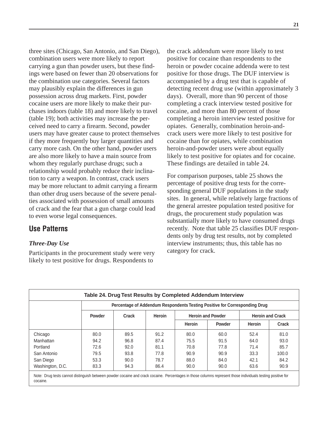three sites (Chicago, San Antonio, and San Diego), combination users were more likely to report carrying a gun than powder users, but these findings were based on fewer than 20 observations for the combination use categories. Several factors may plausibly explain the differences in gun possession across drug markets. First, powder cocaine users are more likely to make their purchases indoors (table 18) and more likely to travel (table 19); both activities may increase the perceived need to carry a firearm. Second, powder users may have greater cause to protect themselves if they more frequently buy larger quantities and carry more cash. On the other hand, powder users are also more likely to have a main source from whom they regularly purchase drugs; such a relationship would probably reduce their inclination to carry a weapon. In contrast, crack users may be more reluctant to admit carrying a firearm than other drug users because of the severe penalties associated with possession of small amounts of crack and the fear that a gun charge could lead to even worse legal consequences.

### **Use Patterns**

#### *Three-Day Use*

Participants in the procurement study were very likely to test positive for drugs. Respondents to

the crack addendum were more likely to test positive for cocaine than respondents to the heroin or powder cocaine addenda were to test positive for those drugs. The DUF interview is accompanied by a drug test that is capable of detecting recent drug use (within approximately 3 days). Overall, more than 90 percent of those completing a crack interview tested positive for cocaine, and more than 80 percent of those completing a heroin interview tested positive for opiates. Generally, combination heroin-andcrack users were more likely to test positive for cocaine than for opiates, while combination heroin-and-powder users were about equally likely to test positive for opiates and for cocaine. These findings are detailed in table 24.

For comparison purposes, table 25 shows the percentage of positive drug tests for the corresponding general DUF populations in the study sites. In general, while relatively large fractions of the general arrestee population tested positive for drugs, the procurement study population was substantially more likely to have consumed drugs recently. Note that table 25 classifies DUF respondents only by drug test results, not by completed interview instruments; thus, this table has no category for crack.

|                  |               |       |        |        | Percentage of Addendum Respondents Testing Positive for Corresponding Drug |        |                         |
|------------------|---------------|-------|--------|--------|----------------------------------------------------------------------------|--------|-------------------------|
|                  | <b>Powder</b> | Crack | Heroin |        | <b>Heroin and Powder</b>                                                   |        | <b>Heroin and Crack</b> |
|                  |               |       |        | Heroin | Powder                                                                     | Heroin | Crack                   |
| Chicago          | 80.0          | 89.5  | 91.2   | 80.0   | 60.0                                                                       | 52.4   | 81.0                    |
| Manhattan        | 94.2          | 96.8  | 87.4   | 75.5   | 91.5                                                                       | 64.0   | 93.0                    |
| Portland         | 72.6          | 92.0  | 81.1   | 70.8   | 77.8                                                                       | 71.4   | 85.7                    |
| San Antonio      | 79.5          | 93.8  | 77.8   | 90.9   | 90.9                                                                       | 33.3   | 100.0                   |
| San Diego        | 53.3          | 90.0  | 78.7   | 88.0   | 84.0                                                                       | 42.1   | 84.2                    |
| Washington, D.C. | 83.3          | 94.3  | 86.4   | 90.0   | 90.0                                                                       | 63.6   | 90.9                    |

Note: Drug tests cannot distinguish between powder cocaine and crack cocaine. Percentages in those columns represent those individuals testing positive for cocaine.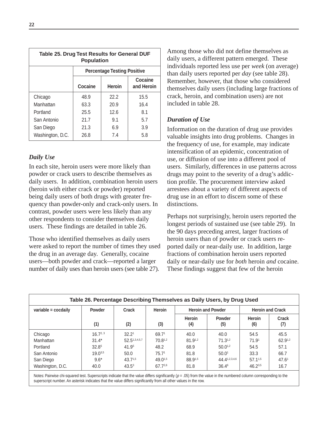| Table 25. Drug Test Results for General DUF<br><b>Population</b> |                                                   |      |      |  |  |  |
|------------------------------------------------------------------|---------------------------------------------------|------|------|--|--|--|
|                                                                  | <b>Percentage Testing Positive</b>                |      |      |  |  |  |
|                                                                  | Cocaine<br>Cocaine<br><b>Heroin</b><br>and Heroin |      |      |  |  |  |
| Chicago                                                          | 48.9                                              | 22.2 | 15.5 |  |  |  |
| Manhattan                                                        | 63.3                                              | 20.9 | 16.4 |  |  |  |
| Portland                                                         | 25.5                                              | 12.6 | 8.1  |  |  |  |
| San Antonio                                                      | 21.7                                              | 9.1  | 5.7  |  |  |  |
| San Diego                                                        | 21.3                                              | 6.9  | 3.9  |  |  |  |
| Washington, D.C.                                                 | 26.8                                              | 7.4  | 5.8  |  |  |  |

#### *Daily Use*

In each site, heroin users were more likely than powder or crack users to describe themselves as daily users. In addition, combination heroin users (heroin with either crack or powder) reported being daily users of both drugs with greater frequency than powder-only and crack-only users. In contrast, powder users were less likely than any other respondents to consider themselves daily users. These findings are detailed in table 26.

Those who identified themselves as daily users were asked to report the number of times they used the drug in an average day. Generally, cocaine users—both powder and crack—reported a larger number of daily uses than heroin users (see table 27).

Among those who did not define themselves as daily users, a different pattern emerged. These individuals reported less use per *week* (on average) than daily users reported per *day* (see table 28). Remember, however, that those who considered themselves daily users (including large fractions of crack, heroin, and combination users) are not included in table 28.

#### *Duration of Use*

Information on the duration of drug use provides valuable insights into drug problems. Changes in the frequency of use, for example, may indicate intensification of an epidemic, concentration of use, or diffusion of use into a different pool of users. Similarly, differences in use patterns across drugs may point to the severity of a drug's addiction profile. The procurement interview asked arrestees about a variety of different aspects of drug use in an effort to discern some of these distinctions.

Perhaps not surprisingly, heroin users reported the longest periods of sustained use (see table 29). In the 90 days preceding arrest, larger fractions of heroin users than of powder or crack users reported daily or near-daily use. In addition, large fractions of combination heroin users reported daily or near-daily use for *both* heroin *and* cocaine. These findings suggest that few of the heroin

| Table 26. Percentage Describing Themselves as Daily Users, by Drug Used |                   |                   |                                           |               |                         |                      |                   |
|-------------------------------------------------------------------------|-------------------|-------------------|-------------------------------------------|---------------|-------------------------|----------------------|-------------------|
| variable = cocdaily                                                     | <b>Powder</b>     | Crack             | <b>Heroin</b><br><b>Heroin and Powder</b> |               | <b>Heroin and Crack</b> |                      |                   |
|                                                                         | (1)               | (2)               | (3)                                       | Heroin<br>(4) | <b>Powder</b><br>(5)    | <b>Heroin</b><br>(6) | Crack<br>(7)      |
| Chicago                                                                 | $16.7^{2,3}$      | 32.2 <sup>1</sup> | 69.71                                     | 40.0          | 40.0                    | 54.5                 | 45.5              |
| Manhattan                                                               | $31.4*$           | 52.51,3,4,5,7     | 70.81,2                                   | $81.9^{1,2}$  | $71.3^{1,2}$            | 71.9 <sup>1</sup>    | 62.91,2           |
| Portland                                                                | 32.8 <sup>5</sup> | 41.95             | 48.2                                      | 68.9          | $50.0^{1,2}$            | 54.5                 | 57.1              |
| San Antonio                                                             | $19.0^{3,5}$      | 50.0              | 75.7 <sup>1</sup>                         | 81.8          | 50.0 <sup>1</sup>       | 33.3                 | 66.7              |
| San Diego                                                               | $9.6*$            | $43.7^{1,5}$      | $49.0^{1,5}$                              | 88.91,5       | 44.41,2,3,4,6           | $57.1^{1,5}$         | 47.6 <sup>1</sup> |
| Washington, D.C.                                                        | 40.0              | $43.5^3$          | 67.72.6                                   | 81.8          | $36.4^6$                | $46.2^{3,5}$         | 16.7              |

Notes: Pairwise chi-squared test. Superscripts indicate that the value differs significantly ( $p = .05$ ) from the value in the numbered column corresponding to the superscript number. An asterisk indicates that the value differs significantly from all other values in the row.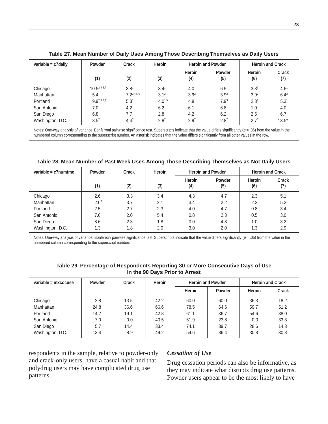| variable = $c7$ daily | Heroin<br>Powder<br>Crack |                  |                  | <b>Heroin and Powder</b> | <b>Heroin and Crack</b> |                  |                  |
|-----------------------|---------------------------|------------------|------------------|--------------------------|-------------------------|------------------|------------------|
|                       | (1)                       | (2)              | (3)              | Heroin<br>(4)            | Powder<br>(5)           | Heroin<br>(6)    | Crack<br>(7)     |
| Chicago               | $10.5^{2,3,6,7}$          | 3.8 <sup>1</sup> | 3.4 <sup>1</sup> | 4.0                      | 6.5                     | 3.3 <sup>1</sup> | 4.6 <sup>1</sup> |
| Manhattan             | 5.4                       | 7 23,4,5,6       | $3.1^{2,7}$      | 3.9 <sup>2</sup>         | 3.9 <sup>2</sup>        | 3.9 <sup>2</sup> | $6.4^3$          |
| Portland              | g g <sub>2,3,6,7</sub>    | 5.3 <sup>1</sup> | $4.0^{1,5}$      | 4.8                      | 7.9 <sup>3</sup>        | 2.8 <sup>1</sup> | 5.3 <sup>1</sup> |
| San Antonio           | 7.0                       | 4.2              | 6.2              | 6.1                      | 6.8                     | 1.0              | 4.0              |
| San Diego             | 6.8                       | 7.7              | 2.8              | 4.2                      | 6.2                     | 2.5              | 6.7              |
| Washington, D.C.      | 3.5 <sup>7</sup>          | 4.4 <sup>7</sup> | 2.8 <sup>7</sup> | 2.9 <sup>7</sup>         | 2.8 <sup>7</sup>        | $2.7^{7}$        | $13.5*$          |

Notes: One-way analysis of variance. Bonferroni pairwise significance test. Superscripts indicate that the value differs significantly ( $p = .05$ ) from the value in the numbered column corresponding to the superscript number. An asterisk indicates that the value differs significantly from all other values in the row.

| Table 28. Mean Number of Past Week Uses Among Those Describing Themselves as Not Daily Users |                  |     |        |                          |               |               |                         |  |
|----------------------------------------------------------------------------------------------|------------------|-----|--------|--------------------------|---------------|---------------|-------------------------|--|
| variable = $c7$ numtme                                                                       | Powder<br>Crack  |     | Heroin | <b>Heroin and Powder</b> |               |               | <b>Heroin and Crack</b> |  |
|                                                                                              | (1)              | (2) | (3)    | Heroin<br>(4)            | Powder<br>(5) | Heroin<br>(6) | Crack<br>(7)            |  |
| Chicago                                                                                      | 2.6              | 3.3 | 3.4    | 4.3                      | 4.7           | 2.3           | 5.1                     |  |
| Manhattan                                                                                    | 2.0 <sup>7</sup> | 3.7 | 2.1    | 3.4                      | 2.2           | 2.2           | 5.2 <sup>1</sup>        |  |
| Portland                                                                                     | 2.5              | 2.7 | 2.3    | 4.0                      | 4.7           | 0.8           | 3.4                     |  |
| San Antonio                                                                                  | 7.0              | 2.0 | 5.4    | 0.8                      | 2.3           | 0.5           | 3.0                     |  |
| San Diego                                                                                    | 8.6              | 2.3 | 1.8    | 0.0                      | 4.8           | 1.0           | 3.2                     |  |
| Washington, D.C.                                                                             | 1.3              | 1.8 | 2.0    | 3.0                      | 2.0           | 1.3           | 2.9                     |  |

Notes: One-way analysis of variance, Bonferroni pairwise significance test. Superscripts indicate that the value differs significantly ( $p = .05$ ) from the value in the numbered column corresponding to the superscript number.

| Table 29. Percentage of Respondents Reporting 30 or More Consecutive Days of Use<br>In the 90 Days Prior to Arrest |      |      |      |               |        |        |       |
|--------------------------------------------------------------------------------------------------------------------|------|------|------|---------------|--------|--------|-------|
| Heroin<br><b>Heroin and Crack</b><br>variable = $m3cocuse$<br>Powder<br>Crack<br><b>Heroin and Powder</b>          |      |      |      |               |        |        |       |
|                                                                                                                    |      |      |      | <b>Heroin</b> | Powder | Heroin | Crack |
| Chicago                                                                                                            | 2.8  | 13.5 | 42.2 | 60.0          | 60.0   | 36.3   | 18.2  |
| Manhattan                                                                                                          | 24.8 | 36.6 | 66.6 | 78.5          | 64.6   | 59.7   | 51.2  |
| Portland                                                                                                           | 14.7 | 19.1 | 42.8 | 61.1          | 36.7   | 54.6   | 38.0  |
| San Antonio                                                                                                        | 7.0  | 0.0  | 40.5 | 61.9          | 23.8   | 0.0    | 33.3  |
| San Diego                                                                                                          | 5.7  | 14.4 | 33.4 | 74.1          | 39.7   | 28.6   | 14.3  |
| Washington, D.C.                                                                                                   | 13.4 | 8.9  | 49.2 | 54.6          | 36.4   | 30.8   | 30.8  |

respondents in the sample, relative to powder-only and crack-only users, have a casual habit and that polydrug users may have complicated drug use patterns.

#### *Cessation of Use*

Drug cessation periods can also be informative, as they may indicate what disrupts drug use patterns. Powder users appear to be the most likely to have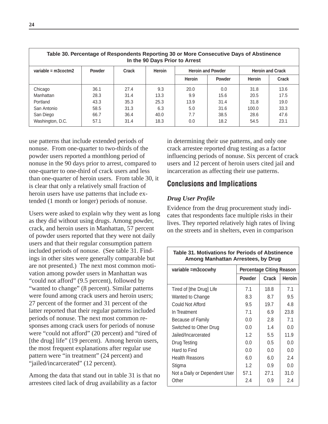| Table 30. Percentage of Respondents Reporting 30 or More Consecutive Days of Abstinence<br>In the 90 Days Prior to Arrest |      |      |      |               |        |                         |       |
|---------------------------------------------------------------------------------------------------------------------------|------|------|------|---------------|--------|-------------------------|-------|
| <b>Heroin</b><br>variable = $m3coctm2$<br><b>Powder</b><br>Crack<br><b>Heroin and Powder</b>                              |      |      |      |               |        | <b>Heroin and Crack</b> |       |
|                                                                                                                           |      |      |      | <b>Heroin</b> | Powder | Heroin                  | Crack |
| Chicago                                                                                                                   | 36.1 | 27.4 | 9.3  | 20.0          | 0.0    | 31.8                    | 13.6  |
| Manhattan                                                                                                                 | 28.3 | 31.4 | 13.3 | 9.9           | 15.6   | 20.5                    | 17.5  |
| Portland                                                                                                                  | 43.3 | 35.3 | 25.3 | 13.9          | 31.4   | 31.8                    | 19.0  |
| San Antonio                                                                                                               | 58.5 | 31.3 | 6.3  | 5.0           | 31.6   | 100.0                   | 33.3  |
| San Diego                                                                                                                 | 66.7 | 36.4 | 40.0 | 7.7           | 38.5   | 28.6                    | 47.6  |
| Washington, D.C.                                                                                                          | 57.1 | 31.4 | 18.3 | 0.0           | 18.2   | 54.5                    | 23.1  |

use patterns that include extended periods of nonuse. From one-quarter to two-thirds of the powder users reported a monthlong period of nonuse in the 90 days prior to arrest, compared to one-quarter to one-third of crack users and less than one-quarter of heroin users. From table 30, it is clear that only a relatively small fraction of heroin users have use patterns that include extended (1 month or longer) periods of nonuse.

Users were asked to explain why they went as long as they did without using drugs. Among powder, crack, and heroin users in Manhattan, 57 percent of powder users reported that they were not daily users and that their regular consumption pattern included periods of nonuse. (See table 31. Findings in other sites were generally comparable but are not presented.) The next most common motivation among powder users in Manhattan was "could not afford" (9.5 percent), followed by "wanted to change" (8 percent). Similar patterns were found among crack users and heroin users; 27 percent of the former and 31 percent of the latter reported that their regular patterns included periods of nonuse. The next most common responses among crack users for periods of nonuse were "could not afford" (20 percent) and "tired of [the drug] life" (19 percent). Among heroin users, the most frequent explanations after regular use pattern were "in treatment" (24 percent) and "jailed/incarcerated" (12 percent).

Among the data that stand out in table 31 is that no arrestees cited lack of drug availability as a factor

in determining their use patterns, and only one crack arrestee reported drug testing as a factor influencing periods of nonuse. Six percent of crack users and 12 percent of heroin users cited jail and incarceration as affecting their use patterns.

## **Conclusions and Implications**

### *Drug User Profile*

Evidence from the drug procurement study indicates that respondents face multiple risks in their lives. They reported relatively high rates of living on the streets and in shelters, even in comparison

| <b>Table 31. Motivations for Periods of Abstinence</b><br>Among Manhattan Arrestees, by Drug |                                 |       |        |  |  |  |  |
|----------------------------------------------------------------------------------------------|---------------------------------|-------|--------|--|--|--|--|
| variable = m3cocwhy                                                                          | <b>Percentage Citing Reason</b> |       |        |  |  |  |  |
|                                                                                              | <b>Powder</b>                   | Crack | Heroin |  |  |  |  |
| Tired of [the Drug] Life                                                                     | 71                              | 18.8  | 7.1    |  |  |  |  |
| Wanted to Change                                                                             | 8.3                             | 8.7   | 9.5    |  |  |  |  |
| Could Not Afford                                                                             | 9.5                             | 19.7  | 4.8    |  |  |  |  |
| In Treatment                                                                                 | 7.1                             | 6.9   | 23.8   |  |  |  |  |
| Because of Family                                                                            | 0.0                             | 2.8   | 7.1    |  |  |  |  |
| Switched to Other Drug                                                                       | 0.0                             | 1.4   | 0.0    |  |  |  |  |
| Jailed/Incarcerated                                                                          | 1.2                             | 5.5   | 11.9   |  |  |  |  |
| Drug Testing                                                                                 | 0.0                             | 0.5   | 0.0    |  |  |  |  |
| Hard to Find                                                                                 | 0.0                             | 0.0   | 0.0    |  |  |  |  |
| <b>Health Reasons</b>                                                                        | 6.0                             | 6.0   | 2.4    |  |  |  |  |
| Stigma                                                                                       | 1.2                             | 0.9   | 0.0    |  |  |  |  |
| Not a Daily or Dependent User                                                                | 57.1                            | 27.1  | 31.0   |  |  |  |  |
| Other                                                                                        | 2.4                             | 0.9   | 2.4    |  |  |  |  |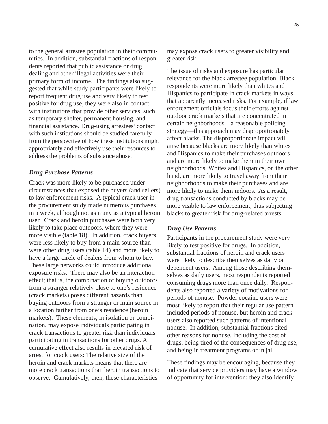to the general arrestee population in their communities. In addition, substantial fractions of respondents reported that public assistance or drug dealing and other illegal activities were their primary form of income. The findings also suggested that while study participants were likely to report frequent drug use and very likely to test positive for drug use, they were also in contact with institutions that provide other services, such as temporary shelter, permanent housing, and financial assistance. Drug-using arrestees' contact with such institutions should be studied carefully from the perspective of how these institutions might appropriately and effectively use their resources to address the problems of substance abuse.

#### *Drug Purchase Patterns*

Crack was more likely to be purchased under circumstances that exposed the buyers (and sellers) to law enforcement risks. A typical crack user in the procurement study made numerous purchases in a week, although not as many as a typical heroin user. Crack and heroin purchases were both very likely to take place outdoors, where they were more visible (table 18). In addition, crack buyers were less likely to buy from a main source than were other drug users (table 14) and more likely to have a large circle of dealers from whom to buy. These large networks could introduce additional exposure risks. There may also be an interaction effect; that is, the combination of buying outdoors from a stranger relatively close to one's residence (crack markets) poses different hazards than buying outdoors from a stranger or main source in a location farther from one's residence (heroin markets). These elements, in isolation or combination, may expose individuals participating in crack transactions to greater risk than individuals participating in transactions for other drugs. A cumulative effect also results in elevated risk of arrest for crack users: The relative size of the heroin and crack markets means that there are more crack transactions than heroin transactions to observe. Cumulatively, then, these characteristics

may expose crack users to greater visibility and greater risk.

The issue of risks and exposure has particular relevance for the black arrestee population. Black respondents were more likely than whites and Hispanics to participate in crack markets in ways that apparently increased risks. For example, if law enforcement officials focus their efforts against outdoor crack markets that are concentrated in certain neighborhoods—a reasonable policing strategy—this approach may disproportionately affect blacks. The disproportionate impact will arise because blacks are more likely than whites and Hispanics to make their purchases outdoors and are more likely to make them in their own neighborhoods. Whites and Hispanics, on the other hand, are more likely to travel away from their neighborhoods to make their purchases and are more likely to make them indoors. As a result, drug transactions conducted by blacks may be more visible to law enforcement, thus subjecting blacks to greater risk for drug-related arrests.

#### *Drug Use Patterns*

Participants in the procurement study were very likely to test positive for drugs. In addition, substantial fractions of heroin and crack users were likely to describe themselves as daily or dependent users. Among those describing themselves as daily users, most respondents reported consuming drugs more than once daily. Respondents also reported a variety of motivations for periods of nonuse. Powder cocaine users were most likely to report that their regular use pattern included periods of nonuse, but heroin and crack users also reported such patterns of intentional nonuse. In addition, substantial fractions cited other reasons for nonuse, including the cost of drugs, being tired of the consequences of drug use, and being in treatment programs or in jail.

These findings may be encouraging, because they indicate that service providers may have a window of opportunity for intervention; they also identify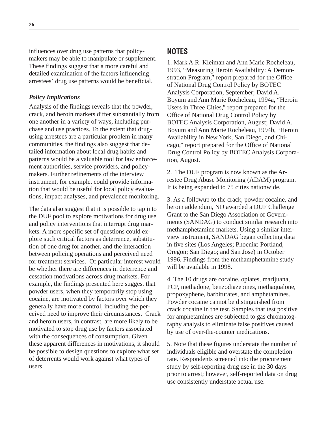influences over drug use patterns that policymakers may be able to manipulate or supplement. These findings suggest that a more careful and detailed examination of the factors influencing arrestees' drug use patterns would be beneficial.

#### *Policy Implications*

Analysis of the findings reveals that the powder, crack, and heroin markets differ substantially from one another in a variety of ways, including purchase and use practices. To the extent that drugusing arrestees are a particular problem in many communities, the findings also suggest that detailed information about local drug habits and patterns would be a valuable tool for law enforcement authorities, service providers, and policymakers. Further refinements of the interview instrument, for example, could provide information that would be useful for local policy evaluations, impact analyses, and prevalence monitoring.

The data also suggest that it is possible to tap into the DUF pool to explore motivations for drug use and policy interventions that interrupt drug markets. A more specific set of questions could explore such critical factors as deterrence, substitution of one drug for another, and the interaction between policing operations and perceived need for treatment services. Of particular interest would be whether there are differences in deterrence and cessation motivations across drug markets. For example, the findings presented here suggest that powder users, when they temporarily stop using cocaine, are motivated by factors over which they generally have more control, including the perceived need to improve their circumstances. Crack and heroin users, in contrast, are more likely to be motivated to stop drug use by factors associated with the consequences of consumption. Given these apparent differences in motivations, it should be possible to design questions to explore what set of deterrents would work against what types of users.

### **NOTES**

1. Mark A.R. Kleiman and Ann Marie Rocheleau, 1993, "Measuring Heroin Availability: A Demonstration Program," report prepared for the Office of National Drug Control Policy by BOTEC Analysis Corporation, September; David A. Boyum and Ann Marie Rocheleau, 1994a, "Heroin Users in Three Cities," report prepared for the Office of National Drug Control Policy by BOTEC Analysis Corporation, August; David A. Boyum and Ann Marie Rocheleau, 1994b, "Heroin Availability in New York, San Diego, and Chicago," report prepared for the Office of National Drug Control Policy by BOTEC Analysis Corporation, August.

2. The DUF program is now known as the Arrestee Drug Abuse Monitoring (ADAM) program. It is being expanded to 75 cities nationwide.

3. As a followup to the crack, powder cocaine, and heroin addendum, NIJ awarded a DUF Challenge Grant to the San Diego Association of Governments (SANDAG) to conduct similar research into methamphetamine markets. Using a similar interview instrument, SANDAG began collecting data in five sites (Los Angeles; Phoenix; Portland, Oregon; San Diego; and San Jose) in October 1996. Findings from the methamphetamine study will be available in 1998.

4. The 10 drugs are cocaine, opiates, marijuana, PCP, methadone, benzodiazepines, methaqualone, propoxyphene, barbiturates, and amphetamines. Powder cocaine cannot be distinguished from crack cocaine in the test. Samples that test positive for amphetamines are subjected to gas chromatography analysis to eliminate false positives caused by use of over-the-counter medications.

5. Note that these figures understate the number of individuals eligible and overstate the completion rate. Respondents screened into the procurement study by self-reporting drug use in the 30 days prior to arrest; however, self-reported data on drug use consistently understate actual use.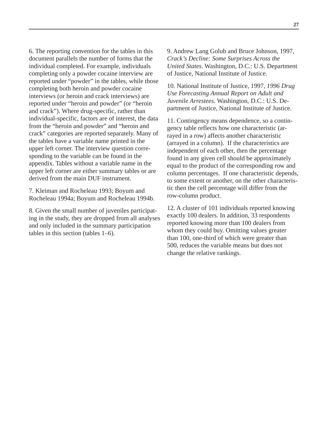6. The reporting convention for the tables in this document parallels the number of forms that the individual completed. For example, individuals completing only a powder cocaine interview are reported under "powder" in the tables, while those completing both heroin and powder cocaine interviews (or heroin and crack interviews) are reported under "heroin and powder" (or "heroin and crack"). Where drug-specific, rather than individual-specific, factors are of interest, the data from the "heroin and powder" and "heroin and crack" categories are reported separately. Many of the tables have a variable name printed in the upper left corner. The interview question corresponding to the variable can be found in the appendix. Tables without a variable name in the upper left corner are either summary tables or are derived from the main DUF instrument.

7. Kleiman and Rocheleau 1993; Boyum and Rocheleau 1994a; Boyum and Rocheleau 1994b.

8. Given the small number of juveniles participating in the study, they are dropped from all analyses and only included in the summary participation tables in this section (tables 1–6).

9. Andrew Lang Golub and Bruce Johnson, 1997, *Crack's Decline: Some Surprises Across the United States.* Washington, D.C.: U.S. Department of Justice, National Institute of Justice.

10. National Institute of Justice, 1997, *1996 Drug Use Forecasting Annual Report on Adult and Juvenile Arrestees*. Washington, D.C.: U.S. Department of Justice, National Institute of Justice.

11. Contingency means dependence, so a contingency table reflects how one characteristic (arrayed in a row) affects another characteristic (arrayed in a column). If the characteristics are independent of each other, then the percentage found in any given cell should be approximately equal to the product of the corresponding row and column percentages. If one characteristic depends, to some extent or another, on the other characteristic then the cell percentage will differ from the row-column product.

12. A cluster of 101 individuals reported knowing exactly 100 dealers. In addition, 33 respondents reported knowing more than 100 dealers from whom they could buy. Omitting values greater than 100, one-third of which were greater than 500, reduces the variable means but does not change the relative rankings.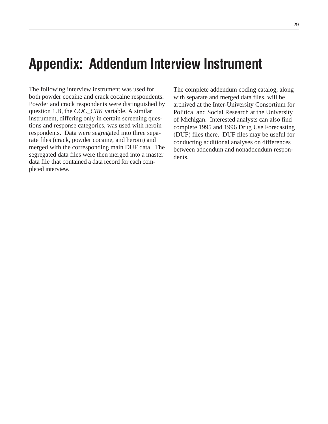# **Appendix: Addendum Interview Instrument**

The following interview instrument was used for both powder cocaine and crack cocaine respondents. Powder and crack respondents were distinguished by question 1.B, the *COC\_CRK* variable. A similar instrument, differing only in certain screening questions and response categories, was used with heroin respondents. Data were segregated into three separate files (crack, powder cocaine, and heroin) and merged with the corresponding main DUF data. The segregated data files were then merged into a master data file that contained a data record for each completed interview.

The complete addendum coding catalog, along with separate and merged data files, will be archived at the Inter-University Consortium for Political and Social Research at the University of Michigan. Interested analysts can also find complete 1995 and 1996 Drug Use Forecasting (DUF) files there. DUF files may be useful for conducting additional analyses on differences between addendum and nonaddendum respondents.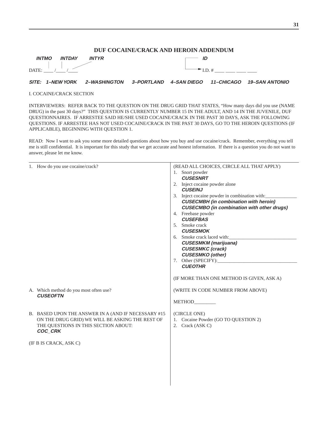#### **DUF COCAINE/CRACK AND HEROIN ADDENDUM**

| <b>INTMO</b> | <b>INTDAY</b> | <b>INTYR</b> | ID |
|--------------|---------------|--------------|----|
| DATE:        |               |              |    |

#### **SITE: 1–NEW YORK 2–WASHINGTON 3–PORTLAND 4–SAN DIEGO 11–CHICAGO 19–SAN ANTONIO**

#### I. COCAINE/CRACK SECTION

INTERVIEWERS: REFER BACK TO THE QUESTION ON THE DRUG GRID THAT STATES, "How many days did you use (NAME DRUG) in the past 30 days?" THIS QUESTION IS CURRENTLY NUMBER 15 IN THE ADULT, AND 14 IN THE JUVENILE, DUF QUESTIONNAIRES. IF ARRESTEE SAID HE/SHE USED COCAINE/CRACK IN THE PAST 30 DAYS, ASK THE FOLLOWING QUESTIONS. IF ARRESTEE HAS NOT USED COCAINE/CRACK IN THE PAST 30 DAYS, GO TO THE HEROIN QUESTIONS (IF APPLICABLE), BEGINNING WITH QUESTION 1.

READ: Now I want to ask you some more detailed questions about how you buy and use cocaine/crack. Remember, everything you tell me is still confidential. It is important for this study that we get accurate and honest information. If there is a question you do not want to answer, please let me know.

| 1. How do you use cocaine/crack?                          | (READ ALL CHOICES, CIRCLE ALL THAT APPLY)         |
|-----------------------------------------------------------|---------------------------------------------------|
|                                                           | 1. Snort powder                                   |
|                                                           | <b>CUSESNRT</b>                                   |
|                                                           | 2. Inject cocaine powder alone                    |
|                                                           | <b>CUSEINJ</b>                                    |
|                                                           | 3. Inject cocaine powder in combination with:     |
|                                                           | <b>CUSECMBH</b> (in combination with heroin)      |
|                                                           | <b>CUSECMBO</b> (in combination with other drugs) |
|                                                           | 4. Freebase powder                                |
|                                                           | <b>CUSEFBAS</b>                                   |
|                                                           | 5. Smoke crack                                    |
|                                                           | <b>CUSESMOK</b>                                   |
|                                                           | 6. Smoke crack laced with:                        |
|                                                           | <b>CUSESMKM</b> (marijuana)                       |
|                                                           | <b>CUSESMKC</b> (crack)                           |
|                                                           | <b>CUSESMKO</b> (other)                           |
|                                                           | 7. Other (SPECIFY):                               |
|                                                           | <b>CUEOTHR</b>                                    |
|                                                           | (IF MORE THAN ONE METHOD IS GIVEN, ASK A)         |
| A. Which method do you most often use?<br><b>CUSEOFTN</b> | (WRITE IN CODE NUMBER FROM ABOVE)                 |
|                                                           | METHOD_________                                   |
|                                                           |                                                   |
| B. BASED UPON THE ANSWER IN A (AND IF NECESSARY #15       | (CIRCLE ONE)                                      |
| ON THE DRUG GRID) WE WILL BE ASKING THE REST OF           | 1. Cocaine Powder (GO TO QUESTION 2)              |
| THE QUESTIONS IN THIS SECTION ABOUT:                      | 2. Crack (ASK C)                                  |
| COC_CRK                                                   |                                                   |
|                                                           |                                                   |
| (IF B IS CRACK, ASK C)                                    |                                                   |
|                                                           |                                                   |
|                                                           |                                                   |
|                                                           |                                                   |
|                                                           |                                                   |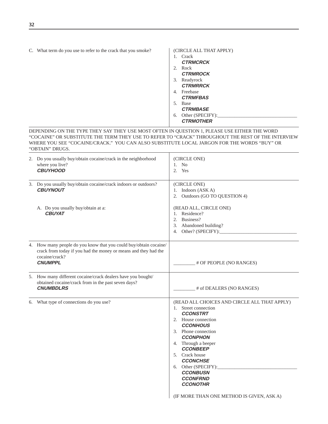|  |  |  | C. What term do you use to refer to the crack that you smoke? |
|--|--|--|---------------------------------------------------------------|
|--|--|--|---------------------------------------------------------------|

| $1_{-}$ | Crack            |
|---------|------------------|
|         | <b>CTRMCRCK</b>  |
|         | 2. Rock          |
|         | <b>CTRMROCK</b>  |
|         | 3. Readyrock     |
|         | <b>CTRMRRCK</b>  |
|         | 4. Freebase      |
|         | <b>CTRMFBAS</b>  |
| 5.      | <b>Base</b>      |
|         | <b>CTRMBASE</b>  |
| 6.      | Other (SPECIFY): |
|         | <b>CTRMOTHER</b> |

| (CIRCLE ALL THAT APPLY)

DEPENDING ON THE TYPE THEY SAY THEY USE MOST OFTEN IN QUESTION 1, PLEASE USE EITHER THE WORD "COCAINE" OR SUBSTITUTE THE TERM THEY USE TO REFER TO "CRACK" THROUGHOUT THE REST OF THE INTERVIEW WHERE YOU SEE "COCAINE/CRACK." YOU CAN ALSO SUBSTITUTE LOCAL JARGON FOR THE WORDS "BUY" OR "OBTAIN" DRUGS.

| 2. Do you usually buy/obtain cocaine/crack in the neighborhood<br>where you live?<br><b>CBUYHOOD</b>                                                                     | (CIRCLE ONE)<br>N <sub>o</sub><br>1.<br>2.<br>Yes                                                                                                                                                                                                                                                                                                                                       |
|--------------------------------------------------------------------------------------------------------------------------------------------------------------------------|-----------------------------------------------------------------------------------------------------------------------------------------------------------------------------------------------------------------------------------------------------------------------------------------------------------------------------------------------------------------------------------------|
| 3. Do you usually buy/obtain cocaine/crack indoors or outdoors?<br><b>CBUYNOUT</b>                                                                                       | (CIRCLE ONE)<br>1. Indoors (ASK A)<br>Outdoors (GO TO QUESTION 4)<br>2.                                                                                                                                                                                                                                                                                                                 |
| A. Do you usually buy/obtain at a:<br><b>CBUYAT</b>                                                                                                                      | (READ ALL, CIRCLE ONE)<br>1. Residence?<br>2. Business?<br>3. Abandoned building?                                                                                                                                                                                                                                                                                                       |
| 4. How many people do you know that you could buy/obtain cocaine/<br>crack from today if you had the money or means and they had the<br>cocaine/crack?<br><b>CNUMPPL</b> | # OF PEOPLE (NO RANGES)                                                                                                                                                                                                                                                                                                                                                                 |
| 5. How many different cocaine/crack dealers have you bought/<br>obtained cocaine/crack from in the past seven days?<br><b>CNUMBDLRS</b>                                  | _# of DEALERS (NO RANGES)                                                                                                                                                                                                                                                                                                                                                               |
| 6. What type of connections do you use?                                                                                                                                  | (READ ALL CHOICES AND CIRCLE ALL THAT APPLY)<br>1. Street connection<br><b>CCONSTRT</b><br>2. House connection<br><b>CCONHOUS</b><br>3. Phone connection<br><b>CCONPHON</b><br>4. Through a beeper<br><b>CCONBEEP</b><br>5. Crack house<br><b>CCONCHSE</b><br>6. Other (SPECIFY):<br><b>CCONBUSN</b><br><b>CCONFRND</b><br><b>CCONOTHR</b><br>(IF MORE THAN ONE METHOD IS GIVEN, ASK A) |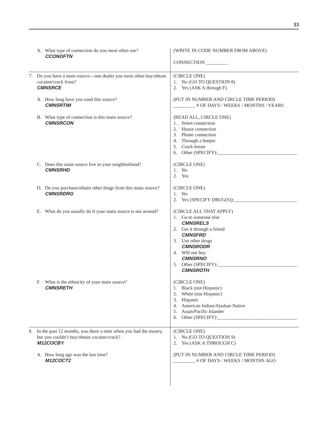|  | A. What type of connection do you most often use?<br><b>CCONOFTN</b>                                                         | (WRITE IN CODE NUMBER FROM ABOVE)<br>CONNECTION                                                                                                                                                                                             |
|--|------------------------------------------------------------------------------------------------------------------------------|---------------------------------------------------------------------------------------------------------------------------------------------------------------------------------------------------------------------------------------------|
|  | 7. Do you have a main source—one dealer you most often buy/obtain<br>cocaine/crack from?<br><b>CMNSRCE</b>                   | (CIRCLE ONE)<br>1. No (GO TO QUESTION 8)<br>2. Yes (ASK A through F)                                                                                                                                                                        |
|  | A. How long have you used this source?<br><b>CMNSRTIM</b>                                                                    | (PUT IN NUMBER AND CIRCLE TIME PERIOD)<br># OF DAYS / WEEKS / MONTHS / YEARS                                                                                                                                                                |
|  | B. What type of connection is this main source?<br><b>CMNSRCON</b>                                                           | (READ ALL, CIRCLE ONE)<br>1. Street connection<br>2. House connection<br>3. Phone connection<br>4. Through a beeper<br>5. Crack house                                                                                                       |
|  | C. Does this main source live in your neighborhood?<br><b>CMNSRHD</b>                                                        | (CIRCLE ONE)<br>1. No<br>2. Yes                                                                                                                                                                                                             |
|  | D. Do you purchase/obtain other drugs from this main source?<br><b>CMNSRDRG</b>                                              | (CIRCLE ONE)<br>$1.$ No<br>2. Yes $(SPECTFY \ DRUG(S))$ :                                                                                                                                                                                   |
|  | E. What do you usually do if your main source is not around?                                                                 | (CIRCLE ALL THAT APPLY)<br>1. Go to someone else<br><b>CMNSRELS</b><br>2. Get it through a friend<br><b>CMNSFRD</b><br>3. Use other drugs<br><b>CMNSRODR</b><br>4. Will not buy<br><b>CMNSRNO</b><br>5. Other (SPECIFY):<br><b>CMNSROTH</b> |
|  | F. What is the ethnicity of your main source?<br><b>CMNSRETH</b>                                                             | (CIRCLE ONE)<br>1. Black (not Hispanic)<br>2. White (not Hispanic)<br>3. Hispanic<br>4. American Indian/Alaskan Native<br>5. Asian/Pacific Islander<br>6. Other (SPECIFY):                                                                  |
|  | 8. In the past 12 months, was there a time when you had the money,<br>but you couldn't buy/obtain cocaine/crack?<br>M12COCBY | (CIRCLE ONE)<br>1. No (GO TO QUESTION 9)<br>2. Yes (ASK A THROUGH C)                                                                                                                                                                        |
|  | A. How long ago was the last time?<br><b>M12COCT2</b>                                                                        | (PUT IN NUMBER AND CIRCLE TIME PERIOD)<br># OF DAYS / WEEKS / MONTHS AGO                                                                                                                                                                    |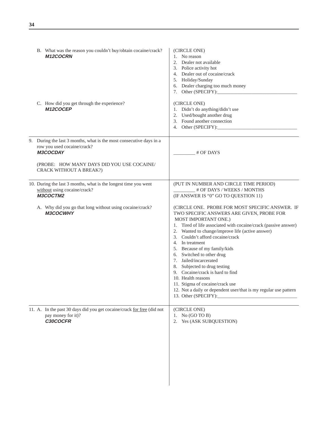| B. What was the reason you couldn't buy/obtain cocaine/crack?<br><b>M12COCRN</b>                                                                                                        | (CIRCLE ONE)<br>1. No reason<br>2. Dealer not available<br>3. Police activity hot<br>4. Dealer out of cocaine/crack<br>5. Holiday/Sunday<br>6. Dealer charging too much money<br>7. Other (SPECIFY):                                                                                                                                                                                                                                                                                                                                                                                                               |
|-----------------------------------------------------------------------------------------------------------------------------------------------------------------------------------------|--------------------------------------------------------------------------------------------------------------------------------------------------------------------------------------------------------------------------------------------------------------------------------------------------------------------------------------------------------------------------------------------------------------------------------------------------------------------------------------------------------------------------------------------------------------------------------------------------------------------|
| C. How did you get through the experience?<br>M12COCEP                                                                                                                                  | (CIRCLE ONE)<br>1. Didn't do anything/didn't use<br>2. Used/bought another drug<br>3. Found another connection<br>4. Other (SPECIFY):                                                                                                                                                                                                                                                                                                                                                                                                                                                                              |
| 9. During the last 3 months, what is the most consecutive days in a<br>row you used cocaine/crack?<br>M3COCDAY<br>(PROBE: HOW MANY DAYS DID YOU USE COCAINE/<br>CRACK WITHOUT A BREAK?) | # OF DAYS                                                                                                                                                                                                                                                                                                                                                                                                                                                                                                                                                                                                          |
| 10. During the last 3 months, what is the longest time you went<br>without using cocaine/crack?<br>M3COCTM2                                                                             | (PUT IN NUMBER AND CIRCLE TIME PERIOD)<br># OF DAYS / WEEKS / MONTHS<br>(IF ANSWER IS "0" GO TO QUESTION 11)                                                                                                                                                                                                                                                                                                                                                                                                                                                                                                       |
| A. Why did you go that long without using cocaine/crack?<br><b>M3COCWHY</b>                                                                                                             | (CIRCLE ONE. PROBE FOR MOST SPECIFIC ANSWER. IF<br>TWO SPECIFIC ANSWERS ARE GIVEN, PROBE FOR<br>MOST IMPORTANT ONE.)<br>1. Tired of life associated with cocaine/crack (passive answer)<br>2. Wanted to change/improve life (active answer)<br>3. Couldn't afford cocaine/crack<br>4. In treatment<br>5. Because of my family/kids<br>6. Switched to other drug<br>7. Jailed/incarcerated<br>8. Subjected to drug testing<br>9. Cocaine/crack is hard to find<br>10. Health reasons<br>11. Stigma of cocaine/crack use<br>12. Not a daily or dependent user/that is my regular use pattern<br>13. Other (SPECIFY): |
| 11. A. In the past 30 days did you get cocaine/crack for free (did not<br>pay money for it)?<br>C30COCFR                                                                                | (CIRCLE ONE)<br>1. No $(GO TO B)$<br>Yes (ASK SUBQUESTION)<br>2.                                                                                                                                                                                                                                                                                                                                                                                                                                                                                                                                                   |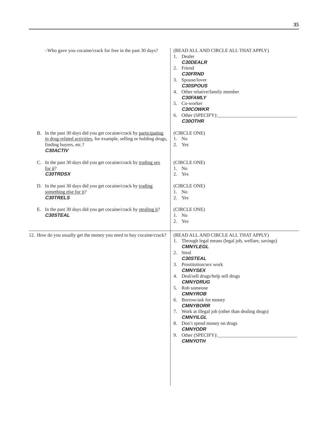| -Who gave you cocaine/crack for free in the past 30 days?                                                                                                                    | (READ ALL AND CIRCLE ALL THAT APPLY)<br>1. Dealer<br>C30DEALR<br>2. Friend<br><b>C30FRND</b><br>3. Spouse/lover<br>C30SPOUS<br>4. Other relative/family member<br>C30FAMLY<br>5. Co-worker<br><b>C30COWKR</b><br>6. Other (SPECIFY):<br>C30OTHR                                                                                                                                                                                                                               |
|------------------------------------------------------------------------------------------------------------------------------------------------------------------------------|-------------------------------------------------------------------------------------------------------------------------------------------------------------------------------------------------------------------------------------------------------------------------------------------------------------------------------------------------------------------------------------------------------------------------------------------------------------------------------|
| B. In the past 30 days did you get cocaine/crack by participating<br>in drug-related activities, for example, selling or holding drugs,<br>finding buyers, etc.?<br>C30ACTIV | (CIRCLE ONE)<br>1. No<br>2. Yes                                                                                                                                                                                                                                                                                                                                                                                                                                               |
| C. In the past 30 days did you get cocaine/crack by trading sex<br>for it?<br><b>C30TRDSX</b>                                                                                | (CIRCLE ONE)<br>1. No<br>2. Yes                                                                                                                                                                                                                                                                                                                                                                                                                                               |
| D. In the past 30 days did you get cocaine/crack by trading<br>something else for it?<br><b>C30TRELS</b>                                                                     | (CIRCLE ONE)<br>1. No<br>2. Yes                                                                                                                                                                                                                                                                                                                                                                                                                                               |
| E. In the past 30 days did you get cocaine/crack by stealing it?<br>C30STEAL                                                                                                 | (CIRCLE ONE)<br>1. No<br>2. Yes                                                                                                                                                                                                                                                                                                                                                                                                                                               |
| 12. How do you usually get the money you need to buy cocaine/crack?                                                                                                          | (READ ALL AND CIRCLE ALL THAT APPLY)<br>1. Through legal means (legal job, welfare, savings)<br><b>CMNYLEGL</b><br>2. Steal<br>C30STEAL<br>3. Prostitution/sex work<br><b>CMNYSEX</b><br>4. Deal/sell drugs/help sell drugs<br><b>CMNYDRUG</b><br>5. Rob someone<br><b>CMNYROB</b><br>6. Borrow/ask for money<br><b>CMNYBORR</b><br>7. Work at illegal job (other than dealing drugs)<br><b>CMNYILGL</b><br>8. Don't spend money on drugs<br><b>CMNYODR</b><br><b>CMNYOTH</b> |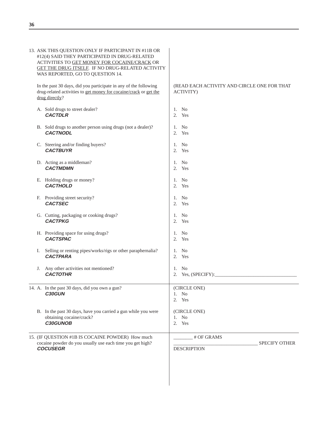| 13. ASK THIS QUESTION ONLY IF PARTICIPANT IN #11B OR<br>#12(4) SAID THEY PARTICIPATED IN DRUG-RELATED<br>ACTIVITIES TO GET MONEY FOR COCAINE/CRACK OR<br>GET THE DRUG ITSELF. IF NO DRUG-RELATED ACTIVITY<br>WAS REPORTED, GO TO QUESTION 14. |                                                                 |
|-----------------------------------------------------------------------------------------------------------------------------------------------------------------------------------------------------------------------------------------------|-----------------------------------------------------------------|
| In the past 30 days, did you participate in any of the following<br>drug-related activities to get money for cocaine/crack or get the<br>drug directly?                                                                                       | (READ EACH ACTIVITY AND CIRCLE ONE FOR THAT<br><b>ACTIVITY)</b> |
| A. Sold drugs to street dealer?<br><b>CACTDLR</b>                                                                                                                                                                                             | 1. No<br>2. Yes                                                 |
| B. Sold drugs to another person using drugs (not a dealer)?<br><b>CACTNODL</b>                                                                                                                                                                | 1. No<br>2. Yes                                                 |
| C. Steering and/or finding buyers?<br><b>CACTBUYR</b>                                                                                                                                                                                         | 1. No<br>2. Yes                                                 |
| D. Acting as a middleman?<br><b>CACTMDMN</b>                                                                                                                                                                                                  | 1. No<br>2. Yes                                                 |
| E. Holding drugs or money?<br><b>CACTHOLD</b>                                                                                                                                                                                                 | 1. No<br>2. Yes                                                 |
| F. Providing street security?<br><b>CACTSEC</b>                                                                                                                                                                                               | 1. No<br>2. Yes                                                 |
| G. Cutting, packaging or cooking drugs?<br><b>CACTPKG</b>                                                                                                                                                                                     | 1. No<br>2. Yes                                                 |
| H. Providing space for using drugs?<br><b>CACTSPAC</b>                                                                                                                                                                                        | 1. No<br>2. Yes                                                 |
| Selling or renting pipes/works/rigs or other paraphernalia?<br>Ι.<br><b>CACTPARA</b>                                                                                                                                                          | 1. No<br>2. Yes                                                 |
| J. Any other activities not mentioned?<br><b>CACTOTHR</b>                                                                                                                                                                                     | 1. No                                                           |
| 14. A. In the past 30 days, did you own a gun?<br><b>C30GUN</b>                                                                                                                                                                               | (CIRCLE ONE)<br>1. No<br>2. Yes                                 |
| B. In the past 30 days, have you carried a gun while you were<br>obtaining cocaine/crack?<br>C30GUNOB                                                                                                                                         | (CIRCLE ONE)<br>1. No<br>2. Yes                                 |
| 15. (IF QUESTION #1B IS COCAINE POWDER) How much<br>cocaine powder do you usually use each time you get high?<br><b>COCUSEGR</b>                                                                                                              | # OF GRAMS<br>SPECIFY OTHER<br><b>DESCRIPTION</b>               |
|                                                                                                                                                                                                                                               |                                                                 |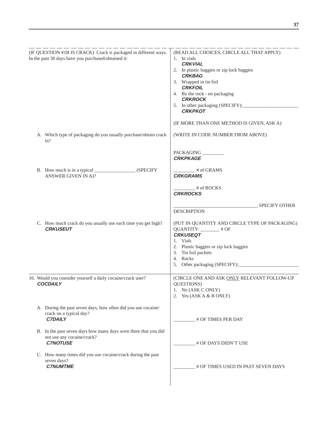| (IF QUESTION #1B IS CRACK) Crack is packaged in different ways.<br>In the past 30 days have you purchased/obtained it: | (READ ALL CHOICES, CIRCLE ALL THAT APPLY)<br>1. In vials<br><b>CRKVIAL</b><br>2. In plastic baggies or zip lock baggies<br><b>CRKBAG</b><br>3. Wrapped in tin foil<br><b>CRKFOIL</b><br>4. By the rock - no packaging<br><b>CRKROCK</b><br>5. In other packaging (SPECIFY):<br><b>CRKPKOT</b><br>(IF MORE THAN ONE METHOD IS GIVEN, ASK A) |
|------------------------------------------------------------------------------------------------------------------------|--------------------------------------------------------------------------------------------------------------------------------------------------------------------------------------------------------------------------------------------------------------------------------------------------------------------------------------------|
| A. Which type of packaging do you usually purchase/obtain crack<br>in?                                                 | (WRITE IN CODE NUMBER FROM ABOVE)                                                                                                                                                                                                                                                                                                          |
|                                                                                                                        | PACKAGING<br><b>CRKPKAGE</b>                                                                                                                                                                                                                                                                                                               |
| ANSWER GIVEN IN A)?                                                                                                    | $\frac{1}{2}$ # of GRAMS<br><b>CRKGRAMS</b>                                                                                                                                                                                                                                                                                                |
|                                                                                                                        | $#$ of ROCKS<br><b>CRKROCKS</b>                                                                                                                                                                                                                                                                                                            |
|                                                                                                                        | <b>SPECIFY OTHER</b><br><b>DESCRIPTION</b>                                                                                                                                                                                                                                                                                                 |
| C. How much crack do you usually use each time you get high?<br><b>CRKUSEUT</b>                                        | (PUT IN QUANTITY AND CIRCLE TYPE OF PACKAGING)<br>QUANTITY: _______ # OF<br><b>CRKUSEQT</b><br>1. Vials<br>2. Plastic baggies or zip lock baggies<br>3. Tin foil packets<br>4. Rocks<br>5. Other packaging (SPECIFY):                                                                                                                      |
| 16. Would you consider yourself a daily cocaine/crack user?<br><b>COCDAILY</b>                                         | (CIRCLE ONE AND ASK ONLY RELEVANT FOLLOW-UP<br>QUESTIONS)<br>1. No (ASK C ONLY)<br>2. Yes $(ASK A & B ONLY)$                                                                                                                                                                                                                               |
| A. During the past seven days, how often did you use cocaine/<br>crack on a typical day?<br><b>C7DAILY</b>             | # OF TIMES PER DAY                                                                                                                                                                                                                                                                                                                         |
| B. In the past seven days how many days were there that you did<br>not use any cocaine/crack?<br><b>C7NOTUSE</b>       | # OF DAYS DIDN'T USE                                                                                                                                                                                                                                                                                                                       |
| C. How many times did you use cocaine/crack during the past<br>seven days?<br><b>C7NUMTME</b>                          | # OF TIMES USED IN PAST SEVEN DAYS                                                                                                                                                                                                                                                                                                         |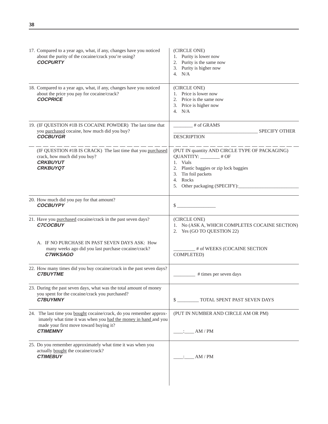**38**

| 17. Compared to a year ago, what, if any, changes have you noticed<br>about the purity of the cocaine/crack you're using?<br><b>COCPURTY</b>                                                        | (CIRCLE ONE)<br>1. Purity is lower now<br>2. Purity is the same now<br>3. Purity is higher now<br>4. $N/A$                                                       |
|-----------------------------------------------------------------------------------------------------------------------------------------------------------------------------------------------------|------------------------------------------------------------------------------------------------------------------------------------------------------------------|
| 18. Compared to a year ago, what, if any, changes have you noticed<br>about the price you pay for cocaine/crack?<br><b>COCPRICE</b>                                                                 | (CIRCLE ONE)<br>1. Price is lower now<br>2. Price is the same now<br>3. Price is higher now<br>4. $N/A$                                                          |
| 19. (IF QUESTION #1B IS COCAINE POWDER) The last time that<br>you purchased cocaine, how much did you buy?<br><b>COCBUYGR</b>                                                                       | $\frac{1}{2}$ # of GRAMS<br><b>SPECIFY OTHER</b><br><b>DESCRIPTION</b>                                                                                           |
| (IF QUESTION #1B IS CRACK) The last time that you purchased<br>crack, how much did you buy?<br><b>CRKBUYUT</b><br><b>CRKBUYQT</b>                                                                   | (PUT IN quantity AND CIRCLE TYPE OF PACKAGING)<br>QUANTITY: _______# OF<br>1. Vials<br>2. Plastic baggies or zip lock baggies<br>3. Tin foil packets<br>4. Rocks |
| 20. How much did you pay for that amount?<br><b>COCBUYPY</b>                                                                                                                                        | $\sim$                                                                                                                                                           |
| 21. Have you purchased cocaine/crack in the past seven days?<br><b>C7COCBUY</b>                                                                                                                     | (CIRCLE ONE)<br>1. No (ASK A, WHICH COMPLETES COCAINE SECTION)<br>2. Yes (GO TO QUESTION 22)                                                                     |
| A. IF NO PURCHASE IN PAST SEVEN DAYS ASK: How<br>many weeks ago did you last purchase cocaine/crack?<br><b>C7WKSAGO</b>                                                                             | # of WEEKS (COCAINE SECTION<br>COMPLETED)                                                                                                                        |
| 22. How many times did you buy cocaine/crack in the past seven days?<br><b>C7BUYTME</b>                                                                                                             | # times per seven days                                                                                                                                           |
| 23. During the past seven days, what was the total amount of money<br>you spent for the cocaine/crack you purchased?<br><b>C7BUYMNY</b>                                                             | TOTAL SPENT PAST SEVEN DAYS<br>$\mathbb{S}$ .                                                                                                                    |
| 24. The last time you bought cocaine/crack, do you remember approx-<br>imately what time it was when you had the money in hand and you<br>made your first move toward buying it?<br><b>CTIMEMNY</b> | (PUT IN NUMBER AND CIRCLE AM OR PM)<br>: $AM/PM$                                                                                                                 |
| 25. Do you remember approximately what time it was when you<br>actually <b>bought</b> the cocaine/crack?<br><b>CTIMEBUY</b>                                                                         | AM/PM                                                                                                                                                            |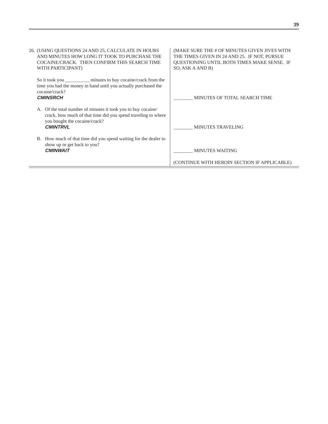| 26. (USING QUESTIONS 24 AND 25, CALCULATE IN HOURS<br>AND MINUTES HOW LONG IT TOOK TO PURCHASE THE<br>COCAINE/CRACK. THEN CONFIRM THIS SEARCH TIME<br>WITH PARTICIPANT)         | (MAKE SURE THE # OF MINUTES GIVEN JIVES WITH<br>THE TIMES GIVEN IN 24 AND 25. IF NOT, PURSUE<br>QUESTIONING UNTIL BOTH TIMES MAKE SENSE. IF<br>SO, ASK A AND B) |
|---------------------------------------------------------------------------------------------------------------------------------------------------------------------------------|-----------------------------------------------------------------------------------------------------------------------------------------------------------------|
| So it took you minutes to buy cocaine/crack from the<br>time you had the money in hand until you actually purchased the<br>cocaine/crack?<br><b>CMINSRCH</b>                    | MINUTES OF TOTAL SEARCH TIME                                                                                                                                    |
| Of the total number of minutes it took you to buy cocaine/<br>crack, how much of that time did you spend traveling to where<br>you bought the cocaine/crack?<br><b>CMINTRVL</b> | <b>MINUTES TRAVELING</b>                                                                                                                                        |
| B. How much of that time did you spend waiting for the dealer to<br>show up or get back to you?<br><b>CMINWAIT</b>                                                              | <b>MINUTES WAITING</b>                                                                                                                                          |
|                                                                                                                                                                                 | (CONTINUE WITH HEROIN SECTION IF APPLICABLE)                                                                                                                    |